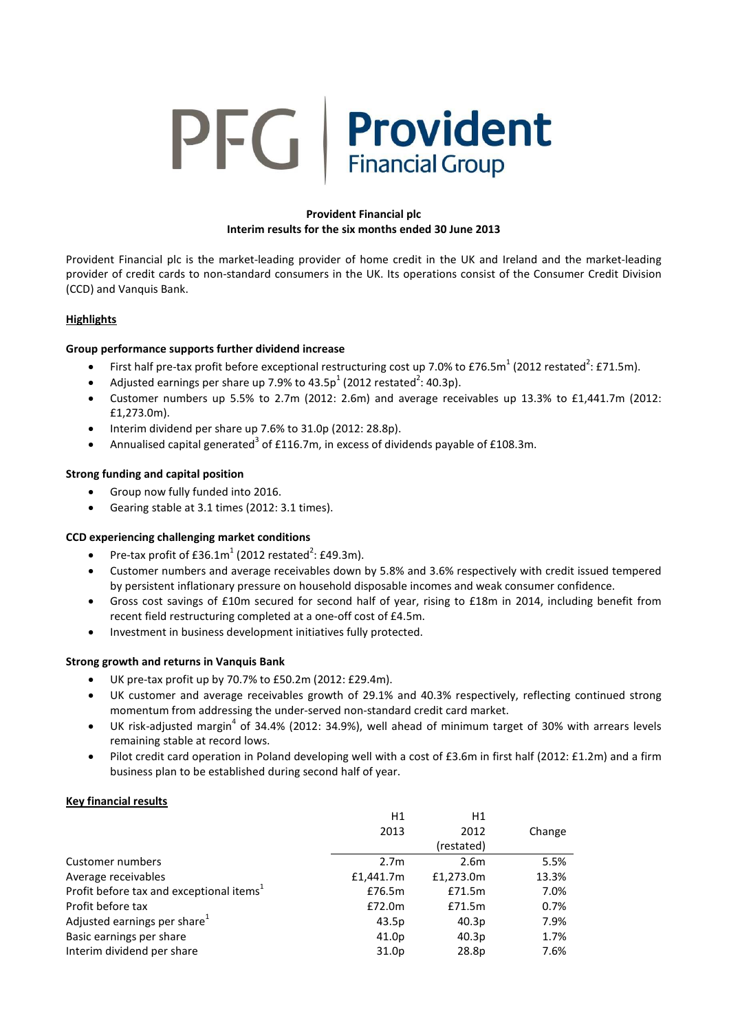# PFG | Provident

# **Provident Financial plc Interim results for the six months ended 30 June 2013**

Provident Financial plc is the market-leading provider of home credit in the UK and Ireland and the market-leading provider of credit cards to non-standard consumers in the UK. Its operations consist of the Consumer Credit Division (CCD) and Vanquis Bank.

# **Highlights**

# **Group performance supports further dividend increase**

- First half pre-tax profit before exceptional restructuring cost up 7.0% to £76.5m<sup>1</sup> (2012 restated<sup>2</sup>: £71.5m).
- Adjusted earnings per share up 7.9% to 43.5p<sup>1</sup> (2012 restated<sup>2</sup>: 40.3p).
- Customer numbers up 5.5% to 2.7m (2012: 2.6m) and average receivables up 13.3% to £1,441.7m (2012: £1,273.0m).
- Interim dividend per share up 7.6% to 31.0p (2012: 28.8p).
- Annualised capital generated<sup>3</sup> of £116.7m, in excess of dividends payable of £108.3m.

# **Strong funding and capital position**

- Group now fully funded into 2016.
- Gearing stable at 3.1 times (2012: 3.1 times).

# **CCD experiencing challenging market conditions**

- Pre-tax profit of  $E36.1m^1$  (2012 restated<sup>2</sup>: £49.3m).
- Customer numbers and average receivables down by 5.8% and 3.6% respectively with credit issued tempered by persistent inflationary pressure on household disposable incomes and weak consumer confidence.
- Gross cost savings of £10m secured for second half of year, rising to £18m in 2014, including benefit from recent field restructuring completed at a one-off cost of £4.5m.
- Investment in business development initiatives fully protected.

# **Strong growth and returns in Vanquis Bank**

- UK pre-tax profit up by 70.7% to £50.2m (2012: £29.4m).
- UK customer and average receivables growth of 29.1% and 40.3% respectively, reflecting continued strong momentum from addressing the under-served non-standard credit card market.
- $\bullet$  UK risk-adjusted margin<sup>4</sup> of 34.4% (2012: 34.9%), well ahead of minimum target of 30% with arrears levels remaining stable at record lows.
- Pilot credit card operation in Poland developing well with a cost of £3.6m in first half (2012: £1.2m) and a firm business plan to be established during second half of year.

# **Key financial results**

|                                                      | H1               | Η1               |        |
|------------------------------------------------------|------------------|------------------|--------|
|                                                      | 2013             | 2012             | Change |
|                                                      |                  | (restated)       |        |
| Customer numbers                                     | 2.7 <sub>m</sub> | 2.6 <sub>m</sub> | 5.5%   |
| Average receivables                                  | £1,441.7m        | £1,273.0m        | 13.3%  |
| Profit before tax and exceptional items <sup>1</sup> | £76.5m           | £71.5m           | 7.0%   |
| Profit before tax                                    | £72.0m           | £71.5m           | 0.7%   |
| Adjusted earnings per share <sup>1</sup>             | 43.5p            | 40.3p            | 7.9%   |
| Basic earnings per share                             | 41.0p            | 40.3p            | 1.7%   |
| Interim dividend per share                           | 31.0p            | 28.8p            | 7.6%   |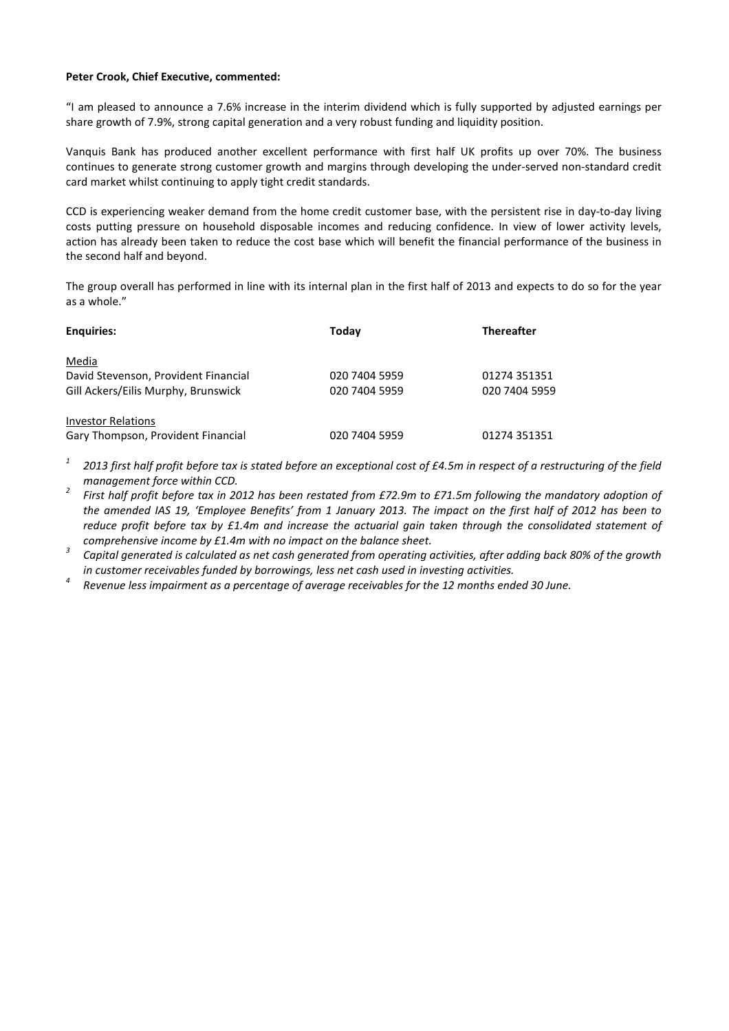#### **Peter Crook, Chief Executive, commented:**

"I am pleased to announce a 7.6% increase in the interim dividend which is fully supported by adjusted earnings per share growth of 7.9%, strong capital generation and a very robust funding and liquidity position.

Vanquis Bank has produced another excellent performance with first half UK profits up over 70%. The business continues to generate strong customer growth and margins through developing the under-served non-standard credit card market whilst continuing to apply tight credit standards.

CCD is experiencing weaker demand from the home credit customer base, with the persistent rise in day-to-day living costs putting pressure on household disposable incomes and reducing confidence. In view of lower activity levels, action has already been taken to reduce the cost base which will benefit the financial performance of the business in the second half and beyond.

The group overall has performed in line with its internal plan in the first half of 2013 and expects to do so for the year as a whole."

| <b>Enquiries:</b>                    | Today         | <b>Thereafter</b> |
|--------------------------------------|---------------|-------------------|
| Media                                |               |                   |
| David Stevenson, Provident Financial | 020 7404 5959 | 01274 351351      |
| Gill Ackers/Eilis Murphy, Brunswick  | 020 7404 5959 | 020 7404 5959     |
| <b>Investor Relations</b>            |               |                   |
| Gary Thompson, Provident Financial   | 020 7404 5959 | 01274 351351      |

*1 2013 first half profit before tax is stated before an exceptional cost of £4.5m in respect of a restructuring of the field management force within CCD.*

- *2 First half profit before tax in 2012 has been restated from £72.9m to £71.5m following the mandatory adoption of the amended IAS 19, 'Employee Benefits' from 1 January 2013. The impact on the first half of 2012 has been to reduce profit before tax by £1.4m and increase the actuarial gain taken through the consolidated statement of comprehensive income by £1.4m with no impact on the balance sheet.*
- *3 Capital generated is calculated as net cash generated from operating activities, after adding back 80% of the growth in customer receivables funded by borrowings, less net cash used in investing activities.*
- *4 Revenue less impairment as a percentage of average receivables for the 12 months ended 30 June.*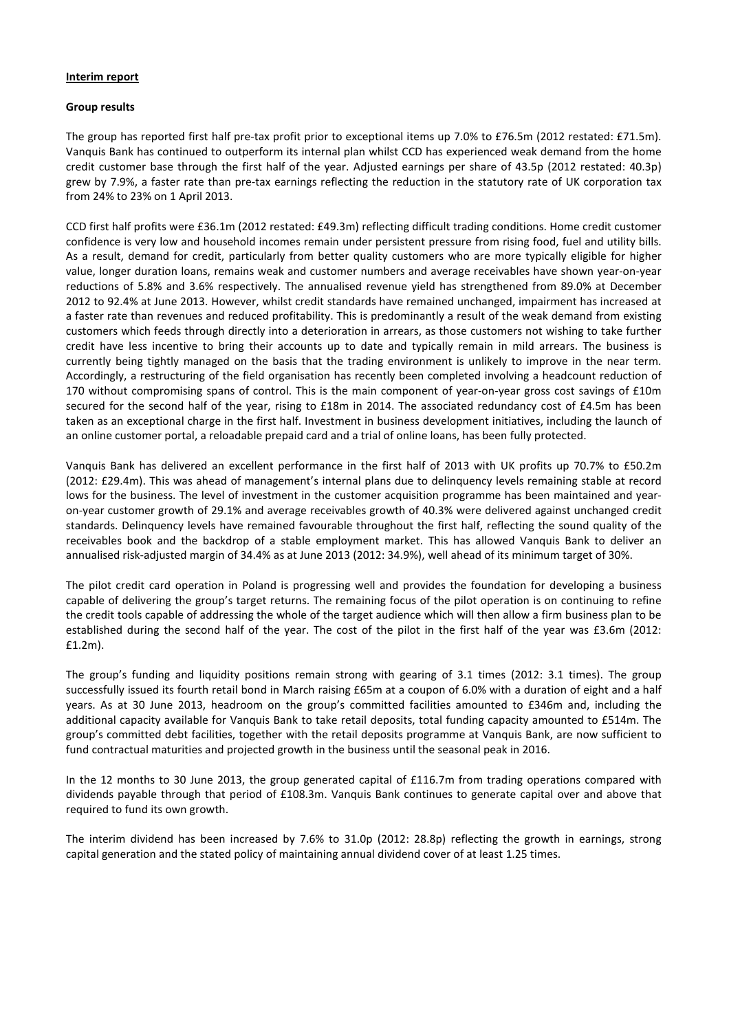#### **Interim report**

#### **Group results**

The group has reported first half pre-tax profit prior to exceptional items up 7.0% to £76.5m (2012 restated: £71.5m). Vanquis Bank has continued to outperform its internal plan whilst CCD has experienced weak demand from the home credit customer base through the first half of the year. Adjusted earnings per share of 43.5p (2012 restated: 40.3p) grew by 7.9%, a faster rate than pre-tax earnings reflecting the reduction in the statutory rate of UK corporation tax from 24% to 23% on 1 April 2013.

CCD first half profits were £36.1m (2012 restated: £49.3m) reflecting difficult trading conditions. Home credit customer confidence is very low and household incomes remain under persistent pressure from rising food, fuel and utility bills. As a result, demand for credit, particularly from better quality customers who are more typically eligible for higher value, longer duration loans, remains weak and customer numbers and average receivables have shown year-on-year reductions of 5.8% and 3.6% respectively. The annualised revenue yield has strengthened from 89.0% at December 2012 to 92.4% at June 2013. However, whilst credit standards have remained unchanged, impairment has increased at a faster rate than revenues and reduced profitability. This is predominantly a result of the weak demand from existing customers which feeds through directly into a deterioration in arrears, as those customers not wishing to take further credit have less incentive to bring their accounts up to date and typically remain in mild arrears. The business is currently being tightly managed on the basis that the trading environment is unlikely to improve in the near term. Accordingly, a restructuring of the field organisation has recently been completed involving a headcount reduction of 170 without compromising spans of control. This is the main component of year-on-year gross cost savings of £10m secured for the second half of the year, rising to £18m in 2014. The associated redundancy cost of £4.5m has been taken as an exceptional charge in the first half. Investment in business development initiatives, including the launch of an online customer portal, a reloadable prepaid card and a trial of online loans, has been fully protected.

Vanquis Bank has delivered an excellent performance in the first half of 2013 with UK profits up 70.7% to £50.2m (2012: £29.4m). This was ahead of management's internal plans due to delinquency levels remaining stable at record lows for the business. The level of investment in the customer acquisition programme has been maintained and yearon-year customer growth of 29.1% and average receivables growth of 40.3% were delivered against unchanged credit standards. Delinquency levels have remained favourable throughout the first half, reflecting the sound quality of the receivables book and the backdrop of a stable employment market. This has allowed Vanquis Bank to deliver an annualised risk-adjusted margin of 34.4% as at June 2013 (2012: 34.9%), well ahead of its minimum target of 30%.

The pilot credit card operation in Poland is progressing well and provides the foundation for developing a business capable of delivering the group's target returns. The remaining focus of the pilot operation is on continuing to refine the credit tools capable of addressing the whole of the target audience which will then allow a firm business plan to be established during the second half of the year. The cost of the pilot in the first half of the year was £3.6m (2012: £1.2m).

The group's funding and liquidity positions remain strong with gearing of 3.1 times (2012: 3.1 times). The group successfully issued its fourth retail bond in March raising £65m at a coupon of 6.0% with a duration of eight and a half years. As at 30 June 2013, headroom on the group's committed facilities amounted to £346m and, including the additional capacity available for Vanquis Bank to take retail deposits, total funding capacity amounted to £514m. The group's committed debt facilities, together with the retail deposits programme at Vanquis Bank, are now sufficient to fund contractual maturities and projected growth in the business until the seasonal peak in 2016.

In the 12 months to 30 June 2013, the group generated capital of £116.7m from trading operations compared with dividends payable through that period of £108.3m. Vanquis Bank continues to generate capital over and above that required to fund its own growth.

The interim dividend has been increased by 7.6% to 31.0p (2012: 28.8p) reflecting the growth in earnings, strong capital generation and the stated policy of maintaining annual dividend cover of at least 1.25 times.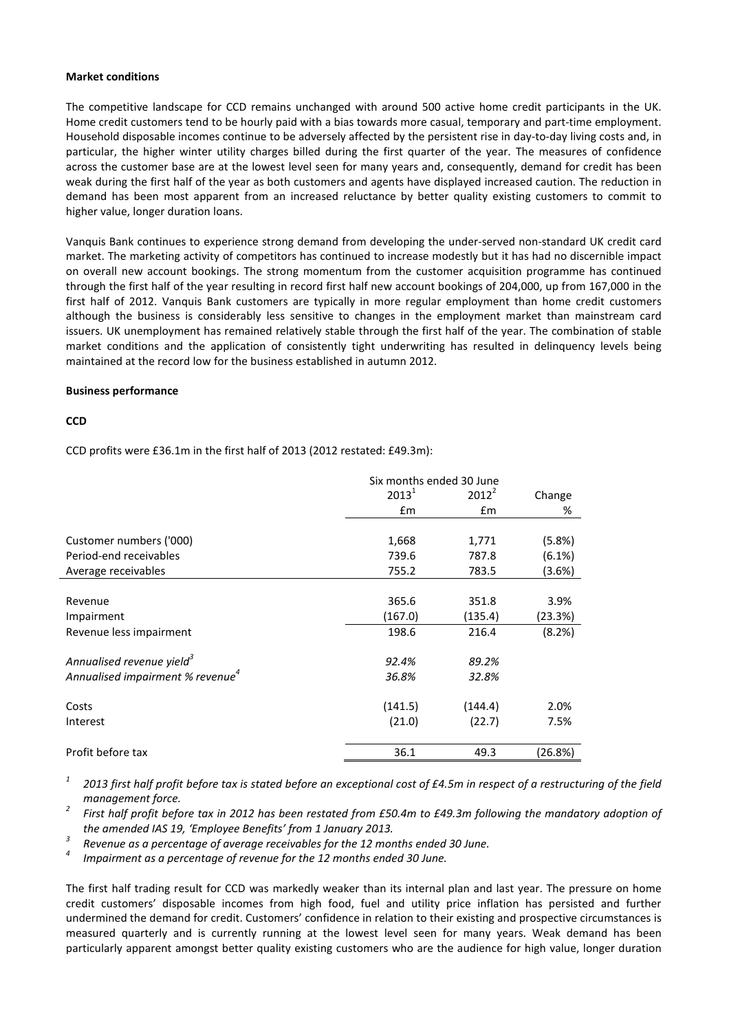#### **Market conditions**

The competitive landscape for CCD remains unchanged with around 500 active home credit participants in the UK. Home credit customers tend to be hourly paid with a bias towards more casual, temporary and part-time employment. Household disposable incomes continue to be adversely affected by the persistent rise in day-to-day living costs and, in particular, the higher winter utility charges billed during the first quarter of the year. The measures of confidence across the customer base are at the lowest level seen for many years and, consequently, demand for credit has been weak during the first half of the year as both customers and agents have displayed increased caution. The reduction in demand has been most apparent from an increased reluctance by better quality existing customers to commit to higher value, longer duration loans.

Vanquis Bank continues to experience strong demand from developing the under-served non-standard UK credit card market. The marketing activity of competitors has continued to increase modestly but it has had no discernible impact on overall new account bookings. The strong momentum from the customer acquisition programme has continued through the first half of the year resulting in record first half new account bookings of 204,000, up from 167,000 in the first half of 2012. Vanquis Bank customers are typically in more regular employment than home credit customers although the business is considerably less sensitive to changes in the employment market than mainstream card issuers. UK unemployment has remained relatively stable through the first half of the year. The combination of stable market conditions and the application of consistently tight underwriting has resulted in delinquency levels being maintained at the record low for the business established in autumn 2012.

#### **Business performance**

#### **CCD**

CCD profits were £36.1m in the first half of 2013 (2012 restated: £49.3m):

|                                              | Six months ended 30 June |          |         |
|----------------------------------------------|--------------------------|----------|---------|
|                                              | $2013^1$                 | $2012^2$ | Change  |
|                                              | $\mathsf{fm}$            | Em       | %       |
|                                              |                          |          |         |
| Customer numbers ('000)                      | 1,668                    | 1,771    | (5.8%)  |
| Period-end receivables                       | 739.6                    | 787.8    | (6.1%)  |
| Average receivables                          | 755.2                    | 783.5    | (3.6%)  |
|                                              |                          |          |         |
| Revenue                                      | 365.6                    | 351.8    | 3.9%    |
| Impairment                                   | (167.0)                  | (135.4)  | (23.3%) |
| Revenue less impairment                      | 198.6                    | 216.4    | (8.2%)  |
| Annualised revenue yield <sup>3</sup>        | 92.4%                    | 89.2%    |         |
| Annualised impairment % revenue <sup>4</sup> | 36.8%                    | 32.8%    |         |
| Costs                                        | (141.5)                  | (144.4)  | 2.0%    |
| Interest                                     | (21.0)                   | (22.7)   | 7.5%    |
| Profit before tax                            | 36.1                     | 49.3     | (26.8%) |

*1 2013 first half profit before tax is stated before an exceptional cost of £4.5m in respect of a restructuring of the field management force.*

*2 First half profit before tax in 2012 has been restated from £50.4m to £49.3m following the mandatory adoption of the amended IAS 19, 'Employee Benefits' from 1 January 2013.*

*3 Revenue as a percentage of average receivables for the 12 months ended 30 June.*

*4 Impairment as a percentage of revenue for the 12 months ended 30 June.*

The first half trading result for CCD was markedly weaker than its internal plan and last year. The pressure on home credit customers' disposable incomes from high food, fuel and utility price inflation has persisted and further undermined the demand for credit. Customers' confidence in relation to their existing and prospective circumstances is measured quarterly and is currently running at the lowest level seen for many years. Weak demand has been particularly apparent amongst better quality existing customers who are the audience for high value, longer duration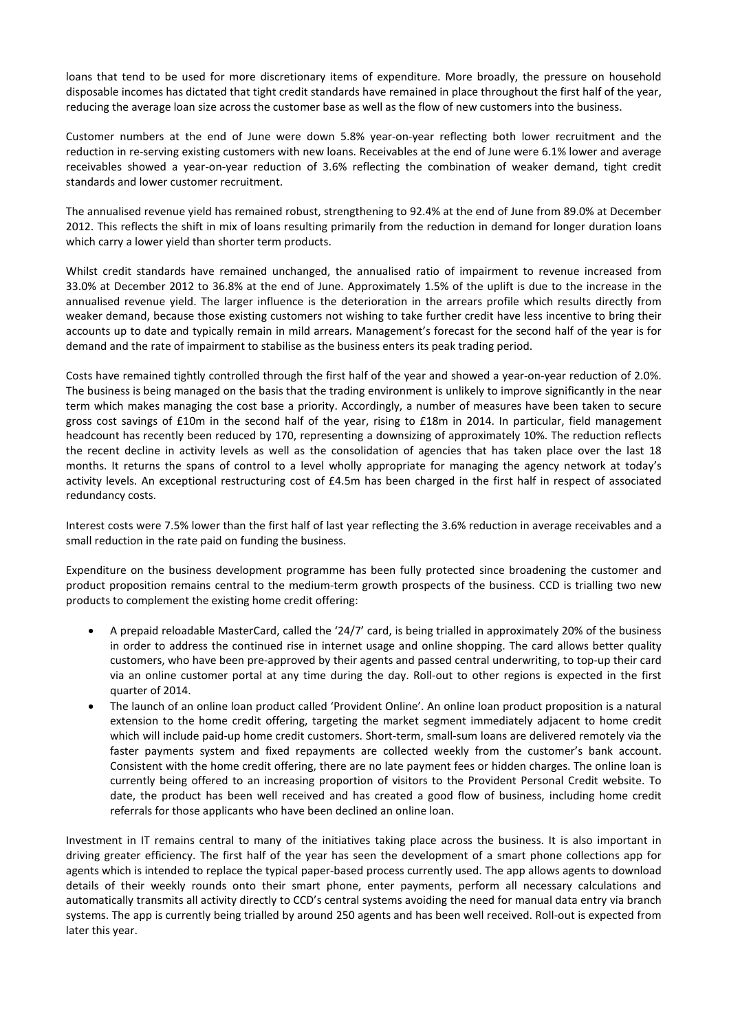loans that tend to be used for more discretionary items of expenditure. More broadly, the pressure on household disposable incomes has dictated that tight credit standards have remained in place throughout the first half of the year, reducing the average loan size across the customer base as well as the flow of new customers into the business.

Customer numbers at the end of June were down 5.8% year-on-year reflecting both lower recruitment and the reduction in re-serving existing customers with new loans. Receivables at the end of June were 6.1% lower and average receivables showed a year-on-year reduction of 3.6% reflecting the combination of weaker demand, tight credit standards and lower customer recruitment.

The annualised revenue yield has remained robust, strengthening to 92.4% at the end of June from 89.0% at December 2012. This reflects the shift in mix of loans resulting primarily from the reduction in demand for longer duration loans which carry a lower yield than shorter term products.

Whilst credit standards have remained unchanged, the annualised ratio of impairment to revenue increased from 33.0% at December 2012 to 36.8% at the end of June. Approximately 1.5% of the uplift is due to the increase in the annualised revenue yield. The larger influence is the deterioration in the arrears profile which results directly from weaker demand, because those existing customers not wishing to take further credit have less incentive to bring their accounts up to date and typically remain in mild arrears. Management's forecast for the second half of the year is for demand and the rate of impairment to stabilise as the business enters its peak trading period.

Costs have remained tightly controlled through the first half of the year and showed a year-on-year reduction of 2.0%. The business is being managed on the basis that the trading environment is unlikely to improve significantly in the near term which makes managing the cost base a priority. Accordingly, a number of measures have been taken to secure gross cost savings of £10m in the second half of the year, rising to £18m in 2014. In particular, field management headcount has recently been reduced by 170, representing a downsizing of approximately 10%. The reduction reflects the recent decline in activity levels as well as the consolidation of agencies that has taken place over the last 18 months. It returns the spans of control to a level wholly appropriate for managing the agency network at today's activity levels. An exceptional restructuring cost of £4.5m has been charged in the first half in respect of associated redundancy costs.

Interest costs were 7.5% lower than the first half of last year reflecting the 3.6% reduction in average receivables and a small reduction in the rate paid on funding the business.

Expenditure on the business development programme has been fully protected since broadening the customer and product proposition remains central to the medium-term growth prospects of the business. CCD is trialling two new products to complement the existing home credit offering:

- A prepaid reloadable MasterCard, called the '24/7' card, is being trialled in approximately 20% of the business in order to address the continued rise in internet usage and online shopping. The card allows better quality customers, who have been pre-approved by their agents and passed central underwriting, to top-up their card via an online customer portal at any time during the day. Roll-out to other regions is expected in the first quarter of 2014.
- The launch of an online loan product called 'Provident Online'. An online loan product proposition is a natural extension to the home credit offering, targeting the market segment immediately adjacent to home credit which will include paid-up home credit customers. Short-term, small-sum loans are delivered remotely via the faster payments system and fixed repayments are collected weekly from the customer's bank account. Consistent with the home credit offering, there are no late payment fees or hidden charges. The online loan is currently being offered to an increasing proportion of visitors to the Provident Personal Credit website. To date, the product has been well received and has created a good flow of business, including home credit referrals for those applicants who have been declined an online loan.

Investment in IT remains central to many of the initiatives taking place across the business. It is also important in driving greater efficiency. The first half of the year has seen the development of a smart phone collections app for agents which is intended to replace the typical paper-based process currently used. The app allows agents to download details of their weekly rounds onto their smart phone, enter payments, perform all necessary calculations and automatically transmits all activity directly to CCD's central systems avoiding the need for manual data entry via branch systems. The app is currently being trialled by around 250 agents and has been well received. Roll-out is expected from later this year.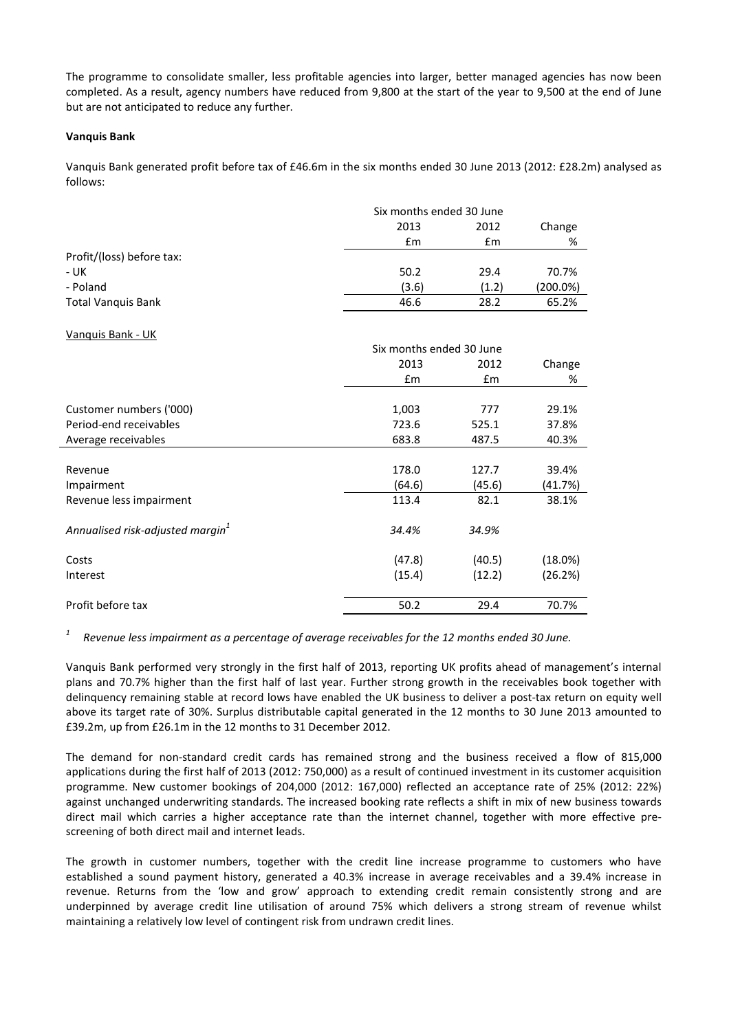The programme to consolidate smaller, less profitable agencies into larger, better managed agencies has now been completed. As a result, agency numbers have reduced from 9,800 at the start of the year to 9,500 at the end of June but are not anticipated to reduce any further.

# **Vanquis Bank**

Vanquis Bank generated profit before tax of £46.6m in the six months ended 30 June 2013 (2012: £28.2m) analysed as follows:

| Six months ended 30 June |       |          |
|--------------------------|-------|----------|
| 2013                     | 2012  | Change   |
| £m                       | £m    | %        |
|                          |       |          |
| 50.2                     | 29.4  | 70.7%    |
| (3.6)                    | (1.2) | (200.0%) |
| 46.6                     | 28.2  | 65.2%    |
|                          |       |          |

#### Vanquis Bank - UK

|                                              | Six months ended 30 June |               |         |
|----------------------------------------------|--------------------------|---------------|---------|
|                                              | 2013                     | 2012          | Change  |
|                                              | $\mathsf{fm}$            | $\mathsf{fm}$ | %       |
|                                              |                          |               |         |
| Customer numbers ('000)                      | 1,003                    | 777           | 29.1%   |
| Period-end receivables                       | 723.6                    | 525.1         | 37.8%   |
| Average receivables                          | 683.8                    | 487.5         | 40.3%   |
|                                              |                          |               |         |
| Revenue                                      | 178.0                    | 127.7         | 39.4%   |
| Impairment                                   | (64.6)                   | (45.6)        | (41.7%) |
| Revenue less impairment                      | 113.4                    | 82.1          | 38.1%   |
| Annualised risk-adjusted margin <sup>1</sup> | 34.4%                    | 34.9%         |         |
| Costs                                        | (47.8)                   | (40.5)        | (18.0%) |
| Interest                                     | (15.4)                   | (12.2)        | (26.2%) |
| Profit before tax                            | 50.2                     | 29.4          | 70.7%   |

*1 Revenue less impairment as a percentage of average receivables for the 12 months ended 30 June.*

Vanquis Bank performed very strongly in the first half of 2013, reporting UK profits ahead of management's internal plans and 70.7% higher than the first half of last year. Further strong growth in the receivables book together with delinquency remaining stable at record lows have enabled the UK business to deliver a post-tax return on equity well above its target rate of 30%. Surplus distributable capital generated in the 12 months to 30 June 2013 amounted to £39.2m, up from £26.1m in the 12 months to 31 December 2012.

The demand for non-standard credit cards has remained strong and the business received a flow of 815,000 applications during the first half of 2013 (2012: 750,000) as a result of continued investment in its customer acquisition programme. New customer bookings of 204,000 (2012: 167,000) reflected an acceptance rate of 25% (2012: 22%) against unchanged underwriting standards. The increased booking rate reflects a shift in mix of new business towards direct mail which carries a higher acceptance rate than the internet channel, together with more effective prescreening of both direct mail and internet leads.

The growth in customer numbers, together with the credit line increase programme to customers who have established a sound payment history, generated a 40.3% increase in average receivables and a 39.4% increase in revenue. Returns from the 'low and grow' approach to extending credit remain consistently strong and are underpinned by average credit line utilisation of around 75% which delivers a strong stream of revenue whilst maintaining a relatively low level of contingent risk from undrawn credit lines.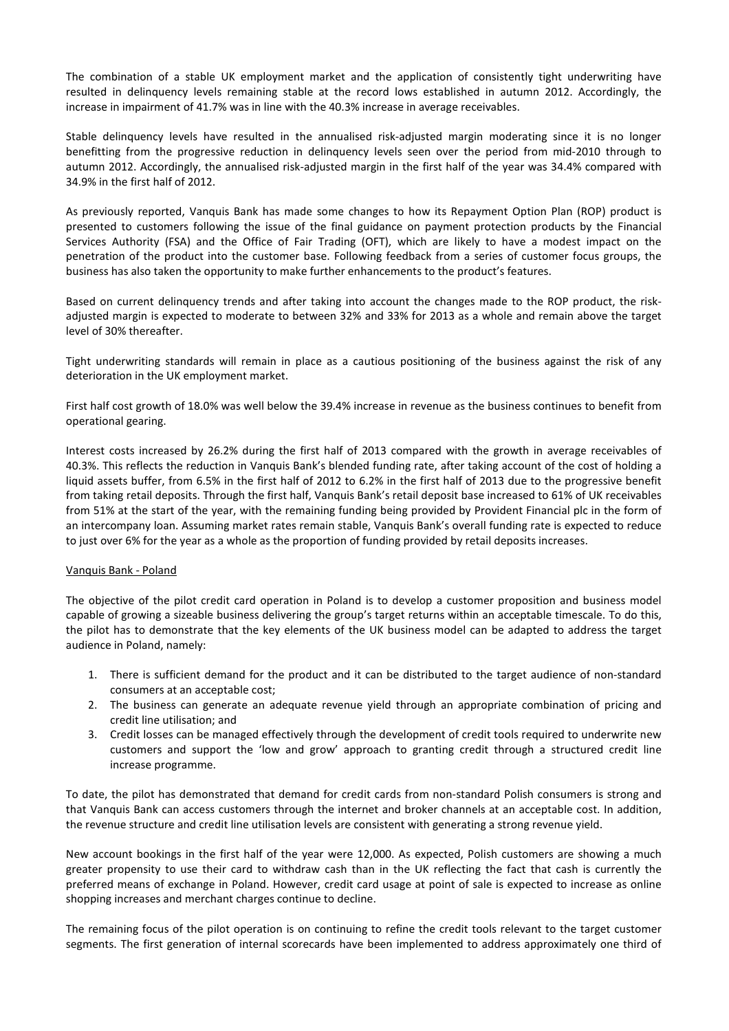The combination of a stable UK employment market and the application of consistently tight underwriting have resulted in delinquency levels remaining stable at the record lows established in autumn 2012. Accordingly, the increase in impairment of 41.7% was in line with the 40.3% increase in average receivables.

Stable delinquency levels have resulted in the annualised risk-adjusted margin moderating since it is no longer benefitting from the progressive reduction in delinquency levels seen over the period from mid-2010 through to autumn 2012. Accordingly, the annualised risk-adjusted margin in the first half of the year was 34.4% compared with 34.9% in the first half of 2012.

As previously reported, Vanquis Bank has made some changes to how its Repayment Option Plan (ROP) product is presented to customers following the issue of the final guidance on payment protection products by the Financial Services Authority (FSA) and the Office of Fair Trading (OFT), which are likely to have a modest impact on the penetration of the product into the customer base. Following feedback from a series of customer focus groups, the business has also taken the opportunity to make further enhancements to the product's features.

Based on current delinquency trends and after taking into account the changes made to the ROP product, the riskadjusted margin is expected to moderate to between 32% and 33% for 2013 as a whole and remain above the target level of 30% thereafter.

Tight underwriting standards will remain in place as a cautious positioning of the business against the risk of any deterioration in the UK employment market.

First half cost growth of 18.0% was well below the 39.4% increase in revenue as the business continues to benefit from operational gearing.

Interest costs increased by 26.2% during the first half of 2013 compared with the growth in average receivables of 40.3%. This reflects the reduction in Vanquis Bank's blended funding rate, after taking account of the cost of holding a liquid assets buffer, from 6.5% in the first half of 2012 to 6.2% in the first half of 2013 due to the progressive benefit from taking retail deposits. Through the first half, Vanquis Bank's retail deposit base increased to 61% of UK receivables from 51% at the start of the year, with the remaining funding being provided by Provident Financial plc in the form of an intercompany loan. Assuming market rates remain stable, Vanquis Bank's overall funding rate is expected to reduce to just over 6% for the year as a whole as the proportion of funding provided by retail deposits increases.

# Vanquis Bank - Poland

The objective of the pilot credit card operation in Poland is to develop a customer proposition and business model capable of growing a sizeable business delivering the group's target returns within an acceptable timescale. To do this, the pilot has to demonstrate that the key elements of the UK business model can be adapted to address the target audience in Poland, namely:

- 1. There is sufficient demand for the product and it can be distributed to the target audience of non-standard consumers at an acceptable cost;
- 2. The business can generate an adequate revenue yield through an appropriate combination of pricing and credit line utilisation; and
- 3. Credit losses can be managed effectively through the development of credit tools required to underwrite new customers and support the 'low and grow' approach to granting credit through a structured credit line increase programme.

To date, the pilot has demonstrated that demand for credit cards from non-standard Polish consumers is strong and that Vanquis Bank can access customers through the internet and broker channels at an acceptable cost. In addition, the revenue structure and credit line utilisation levels are consistent with generating a strong revenue yield.

New account bookings in the first half of the year were 12,000. As expected, Polish customers are showing a much greater propensity to use their card to withdraw cash than in the UK reflecting the fact that cash is currently the preferred means of exchange in Poland. However, credit card usage at point of sale is expected to increase as online shopping increases and merchant charges continue to decline.

The remaining focus of the pilot operation is on continuing to refine the credit tools relevant to the target customer segments. The first generation of internal scorecards have been implemented to address approximately one third of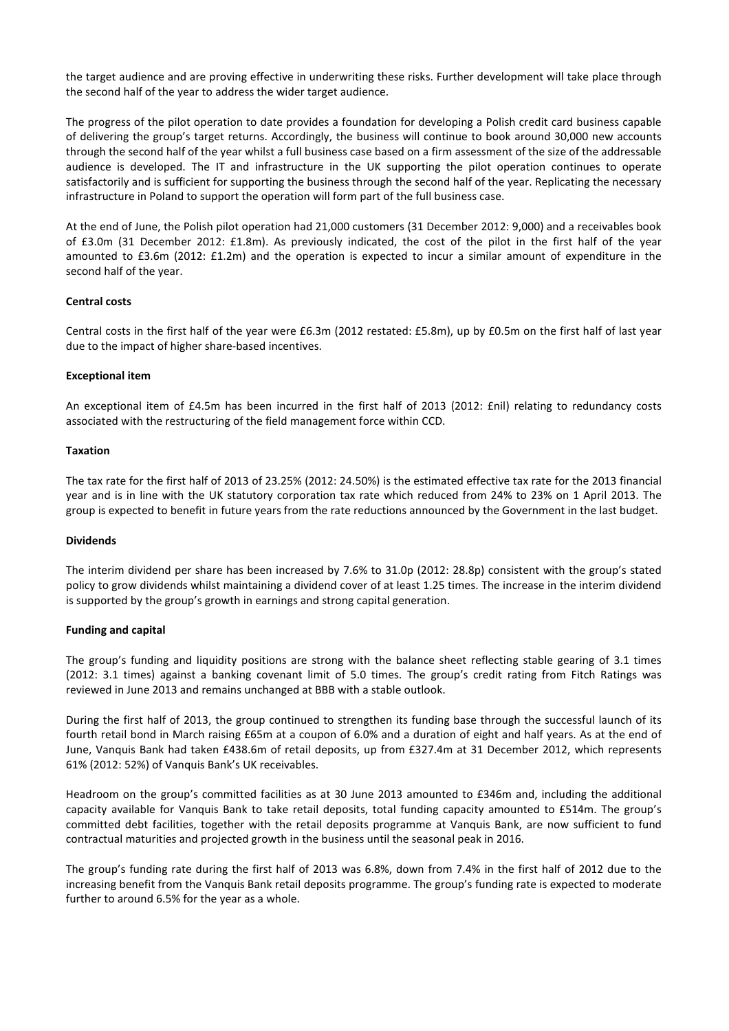the target audience and are proving effective in underwriting these risks. Further development will take place through the second half of the year to address the wider target audience.

The progress of the pilot operation to date provides a foundation for developing a Polish credit card business capable of delivering the group's target returns. Accordingly, the business will continue to book around 30,000 new accounts through the second half of the year whilst a full business case based on a firm assessment of the size of the addressable audience is developed. The IT and infrastructure in the UK supporting the pilot operation continues to operate satisfactorily and is sufficient for supporting the business through the second half of the year. Replicating the necessary infrastructure in Poland to support the operation will form part of the full business case.

At the end of June, the Polish pilot operation had 21,000 customers (31 December 2012: 9,000) and a receivables book of £3.0m (31 December 2012: £1.8m). As previously indicated, the cost of the pilot in the first half of the year amounted to £3.6m (2012: £1.2m) and the operation is expected to incur a similar amount of expenditure in the second half of the year.

# **Central costs**

Central costs in the first half of the year were £6.3m (2012 restated: £5.8m), up by £0.5m on the first half of last year due to the impact of higher share-based incentives.

#### **Exceptional item**

An exceptional item of £4.5m has been incurred in the first half of 2013 (2012: £nil) relating to redundancy costs associated with the restructuring of the field management force within CCD.

#### **Taxation**

The tax rate for the first half of 2013 of 23.25% (2012: 24.50%) is the estimated effective tax rate for the 2013 financial year and is in line with the UK statutory corporation tax rate which reduced from 24% to 23% on 1 April 2013. The group is expected to benefit in future years from the rate reductions announced by the Government in the last budget.

#### **Dividends**

The interim dividend per share has been increased by 7.6% to 31.0p (2012: 28.8p) consistent with the group's stated policy to grow dividends whilst maintaining a dividend cover of at least 1.25 times. The increase in the interim dividend is supported by the group's growth in earnings and strong capital generation.

# **Funding and capital**

The group's funding and liquidity positions are strong with the balance sheet reflecting stable gearing of 3.1 times (2012: 3.1 times) against a banking covenant limit of 5.0 times. The group's credit rating from Fitch Ratings was reviewed in June 2013 and remains unchanged at BBB with a stable outlook.

During the first half of 2013, the group continued to strengthen its funding base through the successful launch of its fourth retail bond in March raising £65m at a coupon of 6.0% and a duration of eight and half years. As at the end of June, Vanquis Bank had taken £438.6m of retail deposits, up from £327.4m at 31 December 2012, which represents 61% (2012: 52%) of Vanquis Bank's UK receivables.

Headroom on the group's committed facilities as at 30 June 2013 amounted to £346m and, including the additional capacity available for Vanquis Bank to take retail deposits, total funding capacity amounted to £514m. The group's committed debt facilities, together with the retail deposits programme at Vanquis Bank, are now sufficient to fund contractual maturities and projected growth in the business until the seasonal peak in 2016.

The group's funding rate during the first half of 2013 was 6.8%, down from 7.4% in the first half of 2012 due to the increasing benefit from the Vanquis Bank retail deposits programme. The group's funding rate is expected to moderate further to around 6.5% for the year as a whole.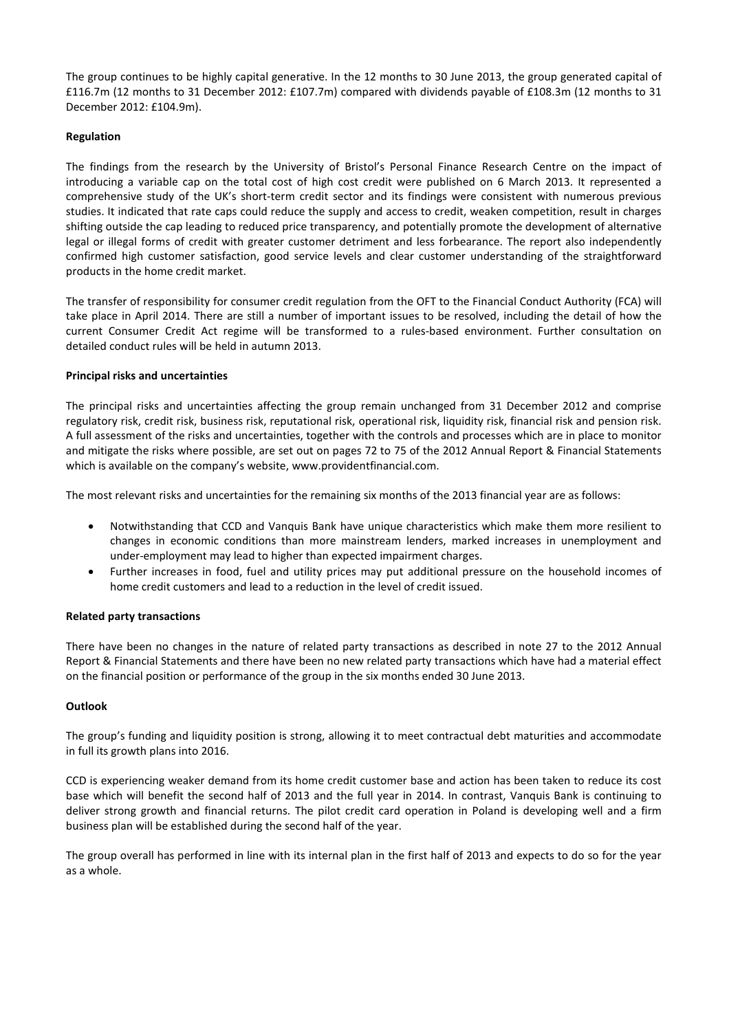The group continues to be highly capital generative. In the 12 months to 30 June 2013, the group generated capital of £116.7m (12 months to 31 December 2012: £107.7m) compared with dividends payable of £108.3m (12 months to 31 December 2012: £104.9m).

# **Regulation**

The findings from the research by the University of Bristol's Personal Finance Research Centre on the impact of introducing a variable cap on the total cost of high cost credit were published on 6 March 2013. It represented a comprehensive study of the UK's short-term credit sector and its findings were consistent with numerous previous studies. It indicated that rate caps could reduce the supply and access to credit, weaken competition, result in charges shifting outside the cap leading to reduced price transparency, and potentially promote the development of alternative legal or illegal forms of credit with greater customer detriment and less forbearance. The report also independently confirmed high customer satisfaction, good service levels and clear customer understanding of the straightforward products in the home credit market.

The transfer of responsibility for consumer credit regulation from the OFT to the Financial Conduct Authority (FCA) will take place in April 2014. There are still a number of important issues to be resolved, including the detail of how the current Consumer Credit Act regime will be transformed to a rules-based environment. Further consultation on detailed conduct rules will be held in autumn 2013.

# **Principal risks and uncertainties**

The principal risks and uncertainties affecting the group remain unchanged from 31 December 2012 and comprise regulatory risk, credit risk, business risk, reputational risk, operational risk, liquidity risk, financial risk and pension risk. A full assessment of the risks and uncertainties, together with the controls and processes which are in place to monitor and mitigate the risks where possible, are set out on pages 72 to 75 of the 2012 Annual Report & Financial Statements which is available on the company's website, www.providentfinancial.com.

The most relevant risks and uncertainties for the remaining six months of the 2013 financial year are as follows:

- Notwithstanding that CCD and Vanquis Bank have unique characteristics which make them more resilient to changes in economic conditions than more mainstream lenders, marked increases in unemployment and under-employment may lead to higher than expected impairment charges.
- Further increases in food, fuel and utility prices may put additional pressure on the household incomes of home credit customers and lead to a reduction in the level of credit issued.

# **Related party transactions**

There have been no changes in the nature of related party transactions as described in note 27 to the 2012 Annual Report & Financial Statements and there have been no new related party transactions which have had a material effect on the financial position or performance of the group in the six months ended 30 June 2013.

# **Outlook**

The group's funding and liquidity position is strong, allowing it to meet contractual debt maturities and accommodate in full its growth plans into 2016.

CCD is experiencing weaker demand from its home credit customer base and action has been taken to reduce its cost base which will benefit the second half of 2013 and the full year in 2014. In contrast, Vanquis Bank is continuing to deliver strong growth and financial returns. The pilot credit card operation in Poland is developing well and a firm business plan will be established during the second half of the year.

The group overall has performed in line with its internal plan in the first half of 2013 and expects to do so for the year as a whole.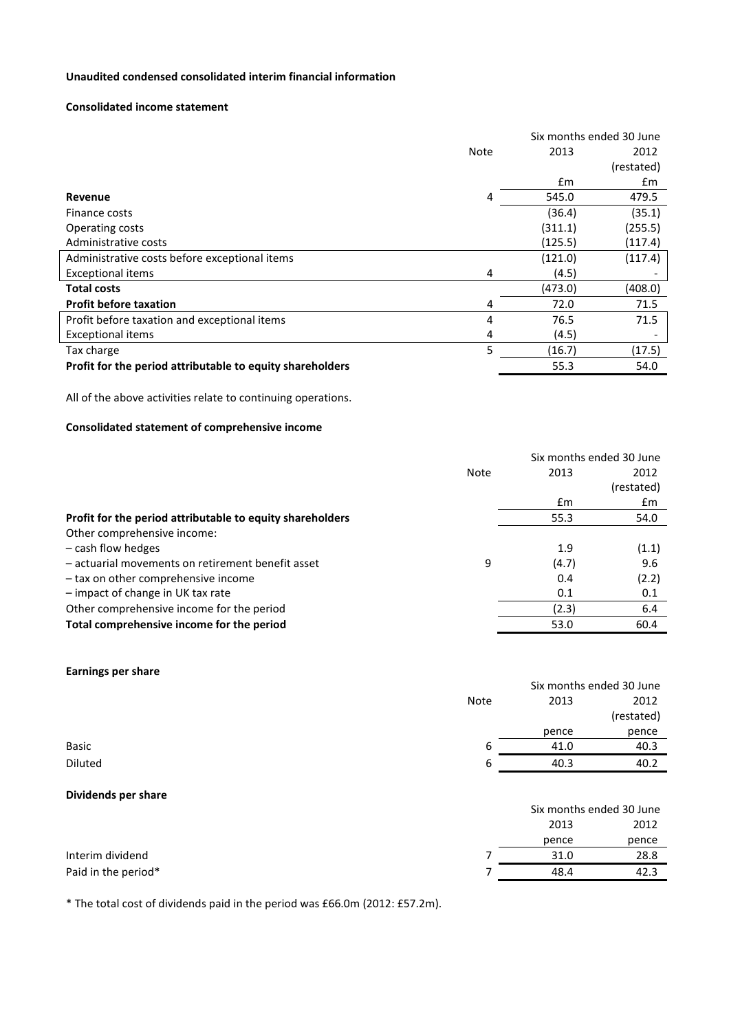# **Unaudited condensed consolidated interim financial information**

#### **Consolidated income statement**

|                                                           |      |         | Six months ended 30 June |
|-----------------------------------------------------------|------|---------|--------------------------|
|                                                           | Note | 2013    | 2012                     |
|                                                           |      |         | (restated)               |
|                                                           |      | £m      | £m                       |
| Revenue                                                   | 4    | 545.0   | 479.5                    |
| Finance costs                                             |      | (36.4)  | (35.1)                   |
| Operating costs                                           |      | (311.1) | (255.5)                  |
| Administrative costs                                      |      | (125.5) | (117.4)                  |
| Administrative costs before exceptional items             |      | (121.0) | (117.4)                  |
| <b>Exceptional items</b>                                  | 4    | (4.5)   |                          |
| <b>Total costs</b>                                        |      | (473.0) | (408.0)                  |
| <b>Profit before taxation</b>                             | 4    | 72.0    | 71.5                     |
| Profit before taxation and exceptional items              | 4    | 76.5    | 71.5                     |
| <b>Exceptional items</b>                                  | 4    | (4.5)   | $\overline{\phantom{a}}$ |
| Tax charge                                                | 5    | (16.7)  | (17.5)                   |
| Profit for the period attributable to equity shareholders |      | 55.3    | 54.0                     |

All of the above activities relate to continuing operations.

# **Consolidated statement of comprehensive income**

|                                                           |      |       | Six months ended 30 June |
|-----------------------------------------------------------|------|-------|--------------------------|
|                                                           | Note | 2013  | 2012                     |
|                                                           |      |       | (restated)               |
|                                                           |      | £m    | £m                       |
| Profit for the period attributable to equity shareholders |      | 55.3  | 54.0                     |
| Other comprehensive income:                               |      |       |                          |
| - cash flow hedges                                        |      | 1.9   | (1.1)                    |
| - actuarial movements on retirement benefit asset         | 9    | (4.7) | 9.6                      |
| - tax on other comprehensive income                       |      | 0.4   | (2.2)                    |
| - impact of change in UK tax rate                         |      | 0.1   | 0.1                      |
| Other comprehensive income for the period                 |      | (2.3) | 6.4                      |
| Total comprehensive income for the period                 |      | 53.0  | 60.4                     |
|                                                           |      |       |                          |

# **Earnings per share**

| <u>.</u>            |      |       | Six months ended 30 June |  |
|---------------------|------|-------|--------------------------|--|
|                     | Note | 2013  | 2012                     |  |
|                     |      |       | (restated)               |  |
|                     |      | pence | pence                    |  |
| Basic               | 6    | 41.0  | 40.3                     |  |
| Diluted             | 6    | 40.3  | 40.2                     |  |
| Dividends per share |      |       |                          |  |

|                     | 2013  | 2012  |
|---------------------|-------|-------|
|                     | pence | pence |
| Interim dividend    | 31.0  | 28.8  |
| Paid in the period* | 48.4  | 42.3  |

Six months ended 30 June

\* The total cost of dividends paid in the period was £66.0m (2012: £57.2m).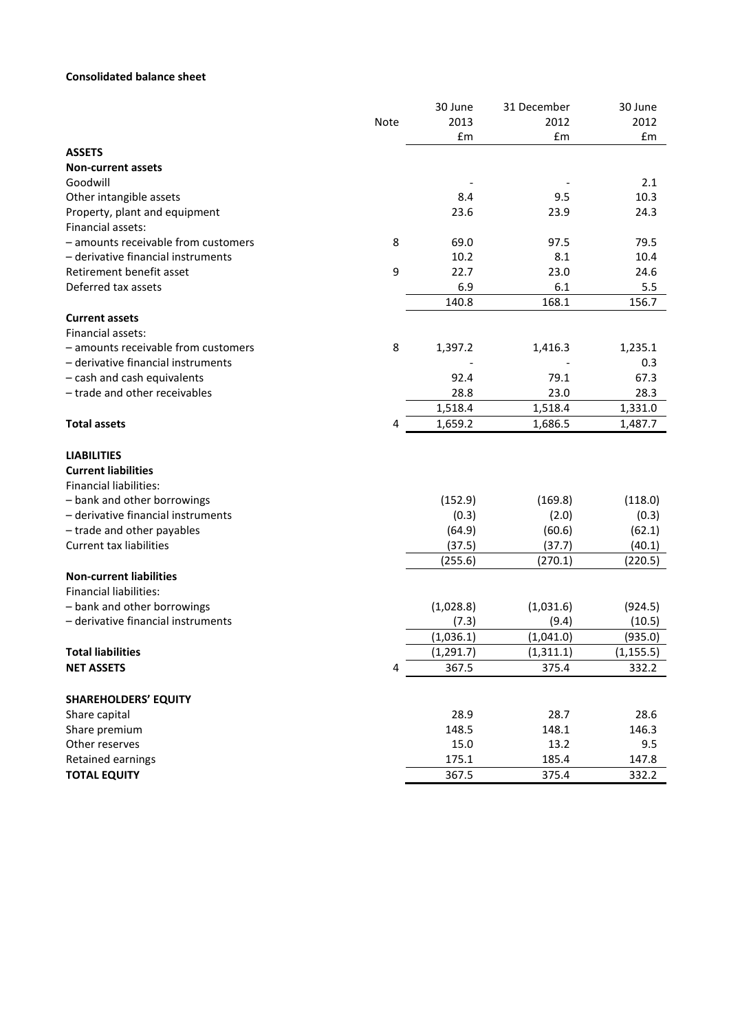# **Consolidated balance sheet**

|                                                                                   |      | 30 June    | 31 December | 30 June    |
|-----------------------------------------------------------------------------------|------|------------|-------------|------------|
|                                                                                   | Note | 2013       | 2012        | 2012       |
|                                                                                   |      | £m         | £m          | £m         |
| <b>ASSETS</b>                                                                     |      |            |             |            |
| <b>Non-current assets</b>                                                         |      |            |             |            |
| Goodwill                                                                          |      |            |             | 2.1        |
| Other intangible assets                                                           |      | 8.4        | 9.5         | 10.3       |
| Property, plant and equipment                                                     |      | 23.6       | 23.9        | 24.3       |
| Financial assets:                                                                 |      |            |             |            |
| - amounts receivable from customers                                               | 8    | 69.0       | 97.5        | 79.5       |
| - derivative financial instruments                                                |      | 10.2       | 8.1         | 10.4       |
| Retirement benefit asset                                                          | 9    | 22.7       | 23.0        | 24.6       |
| Deferred tax assets                                                               |      | 6.9        | 6.1         | 5.5        |
|                                                                                   |      | 140.8      | 168.1       | 156.7      |
| <b>Current assets</b>                                                             |      |            |             |            |
| Financial assets:                                                                 |      |            |             |            |
| - amounts receivable from customers                                               | 8    | 1,397.2    | 1,416.3     | 1,235.1    |
| - derivative financial instruments                                                |      |            |             | 0.3        |
| - cash and cash equivalents                                                       |      | 92.4       | 79.1        | 67.3       |
| - trade and other receivables                                                     |      | 28.8       | 23.0        | 28.3       |
|                                                                                   |      | 1,518.4    | 1,518.4     | 1,331.0    |
| <b>Total assets</b>                                                               | 4    | 1,659.2    | 1,686.5     | 1,487.7    |
| <b>LIABILITIES</b><br><b>Current liabilities</b><br><b>Financial liabilities:</b> |      |            |             |            |
| - bank and other borrowings                                                       |      | (152.9)    | (169.8)     | (118.0)    |
| - derivative financial instruments                                                |      | (0.3)      | (2.0)       | (0.3)      |
| - trade and other payables                                                        |      | (64.9)     | (60.6)      | (62.1)     |
| Current tax liabilities                                                           |      | (37.5)     | (37.7)      | (40.1)     |
|                                                                                   |      | (255.6)    | (270.1)     | (220.5)    |
| <b>Non-current liabilities</b>                                                    |      |            |             |            |
| <b>Financial liabilities:</b>                                                     |      |            |             |            |
| - bank and other borrowings                                                       |      | (1,028.8)  | (1,031.6)   | (924.5)    |
| - derivative financial instruments                                                |      | (7.3)      | (9.4)       | (10.5)     |
|                                                                                   |      | (1,036.1)  | (1,041.0)   | (935.0)    |
| <b>Total liabilities</b>                                                          |      | (1, 291.7) | (1, 311.1)  | (1, 155.5) |
| <b>NET ASSETS</b>                                                                 | 4    | 367.5      | 375.4       | 332.2      |
|                                                                                   |      |            |             |            |
| <b>SHAREHOLDERS' EQUITY</b>                                                       |      |            |             |            |
| Share capital                                                                     |      | 28.9       | 28.7        | 28.6       |
| Share premium                                                                     |      | 148.5      | 148.1       | 146.3      |
| Other reserves                                                                    |      | 15.0       | 13.2        | 9.5        |
| Retained earnings                                                                 |      | 175.1      | 185.4       | 147.8      |
| <b>TOTAL EQUITY</b>                                                               |      | 367.5      | 375.4       | 332.2      |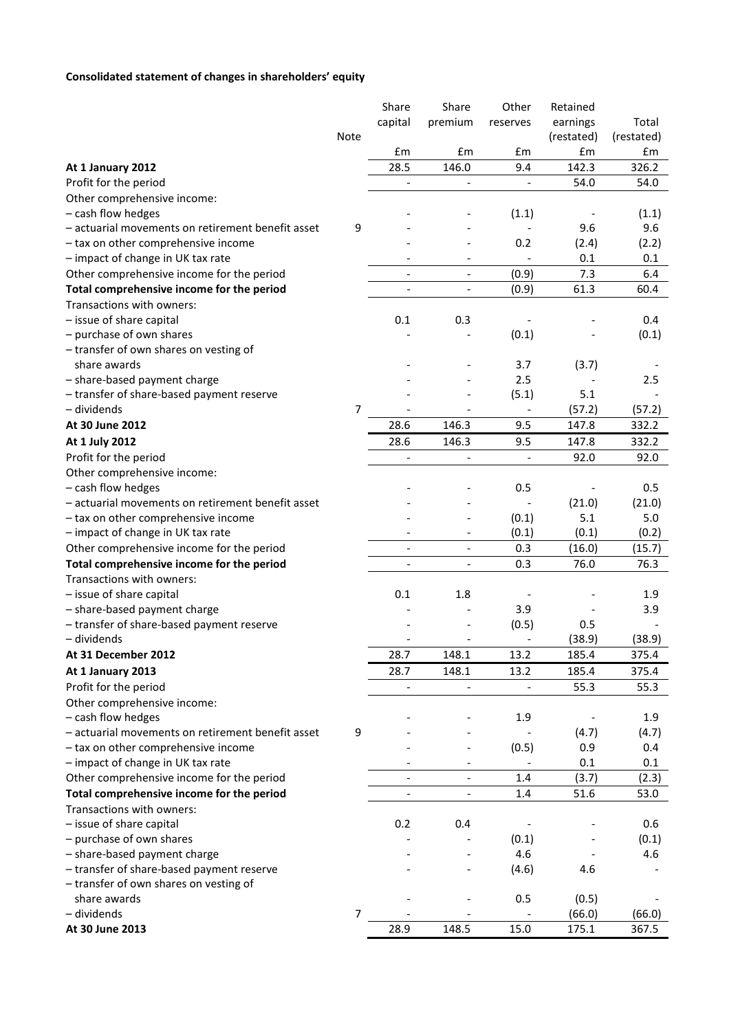# **Consolidated statement of changes in shareholders' equity**

|                                                          |                | Share                        | Share                        | Other                    | Retained   |            |
|----------------------------------------------------------|----------------|------------------------------|------------------------------|--------------------------|------------|------------|
|                                                          |                | capital                      | premium                      | reserves                 | earnings   | Total      |
|                                                          | Note           |                              |                              |                          | (restated) | (restated) |
|                                                          |                | £m                           | £m                           | £m                       | £m         | £m         |
| At 1 January 2012                                        |                | 28.5                         | 146.0                        | 9.4                      | 142.3      | 326.2      |
| Profit for the period                                    |                | $\qquad \qquad \blacksquare$ |                              |                          | 54.0       | 54.0       |
| Other comprehensive income:                              |                |                              |                              |                          |            |            |
| - cash flow hedges                                       |                |                              |                              | (1.1)                    |            | (1.1)      |
| - actuarial movements on retirement benefit asset        | 9              |                              |                              |                          | 9.6        | 9.6        |
| - tax on other comprehensive income                      |                |                              |                              | 0.2                      | (2.4)      | (2.2)      |
| - impact of change in UK tax rate                        |                |                              |                              |                          | 0.1        | 0.1        |
| Other comprehensive income for the period                |                | $\overline{\phantom{a}}$     | $\qquad \qquad -$            | (0.9)                    | 7.3        | 6.4        |
| Total comprehensive income for the period                |                | $\overline{\phantom{a}}$     | $\qquad \qquad -$            | (0.9)                    | 61.3       | 60.4       |
| Transactions with owners:                                |                |                              |                              |                          |            |            |
| - issue of share capital                                 |                | 0.1                          | 0.3                          |                          |            | 0.4        |
| - purchase of own shares                                 |                |                              |                              | (0.1)                    |            | (0.1)      |
| - transfer of own shares on vesting of                   |                |                              |                              |                          |            |            |
| share awards                                             |                |                              |                              | 3.7                      | (3.7)      |            |
| - share-based payment charge                             |                |                              |                              | 2.5                      |            | 2.5        |
| - transfer of share-based payment reserve                |                |                              |                              | (5.1)                    | 5.1        |            |
| - dividends                                              | 7              |                              |                              |                          | (57.2)     | (57.2)     |
| At 30 June 2012                                          |                | 28.6                         | 146.3                        | 9.5                      | 147.8      | 332.2      |
| At 1 July 2012                                           |                | 28.6                         | 146.3                        | 9.5                      | 147.8      | 332.2      |
| Profit for the period                                    |                | $\qquad \qquad \blacksquare$ | $\qquad \qquad \blacksquare$ | $\overline{\phantom{a}}$ | 92.0       | 92.0       |
| Other comprehensive income:                              |                |                              |                              |                          |            |            |
| - cash flow hedges                                       |                |                              |                              | 0.5                      |            | 0.5        |
| - actuarial movements on retirement benefit asset        |                |                              |                              |                          | (21.0)     | (21.0)     |
| - tax on other comprehensive income                      |                |                              |                              | (0.1)                    | 5.1        | 5.0        |
| - impact of change in UK tax rate                        |                |                              |                              | (0.1)                    | (0.1)      | (0.2)      |
| Other comprehensive income for the period                |                |                              | $\overline{\phantom{a}}$     | 0.3                      | (16.0)     | (15.7)     |
| Total comprehensive income for the period                |                | $\overline{\phantom{0}}$     | $\overline{\phantom{a}}$     | 0.3                      | 76.0       | 76.3       |
| Transactions with owners:                                |                |                              |                              |                          |            |            |
|                                                          |                |                              |                              |                          |            |            |
| - issue of share capital<br>- share-based payment charge |                | 0.1                          | 1.8                          | 3.9                      |            | 1.9<br>3.9 |
| - transfer of share-based payment reserve                |                |                              |                              |                          | 0.5        |            |
| - dividends                                              |                |                              |                              | (0.5)                    |            |            |
|                                                          |                |                              |                              |                          | (38.9)     | (38.9)     |
| At 31 December 2012                                      |                | 28.7                         | 148.1                        | 13.2                     | 185.4      | 375.4      |
| At 1 January 2013                                        |                | 28.7                         | 148.1                        | 13.2                     | 185.4      | 375.4      |
| Profit for the period                                    |                |                              |                              |                          | 55.3       | 55.3       |
| Other comprehensive income:                              |                |                              |                              |                          |            |            |
| - cash flow hedges                                       |                |                              |                              | 1.9                      |            | 1.9        |
| - actuarial movements on retirement benefit asset        | 9              |                              |                              |                          | (4.7)      | (4.7)      |
| - tax on other comprehensive income                      |                |                              |                              | (0.5)                    | 0.9        | 0.4        |
| - impact of change in UK tax rate                        |                |                              | $\overline{\phantom{a}}$     |                          | 0.1        | 0.1        |
| Other comprehensive income for the period                |                | $\overline{\phantom{a}}$     | $\overline{a}$               | 1.4                      | (3.7)      | (2.3)      |
| Total comprehensive income for the period                |                | $\overline{a}$               | $\overline{a}$               | 1.4                      | 51.6       | 53.0       |
| Transactions with owners:                                |                |                              |                              |                          |            |            |
| - issue of share capital                                 |                | 0.2                          | 0.4                          |                          |            | 0.6        |
| - purchase of own shares                                 |                |                              |                              | (0.1)                    |            | (0.1)      |
| - share-based payment charge                             |                |                              |                              | 4.6                      |            | 4.6        |
| - transfer of share-based payment reserve                |                |                              |                              | (4.6)                    | 4.6        |            |
| - transfer of own shares on vesting of                   |                |                              |                              |                          |            |            |
| share awards                                             |                |                              |                              | 0.5                      | (0.5)      |            |
| - dividends                                              | $\overline{7}$ |                              |                              |                          | (66.0)     | (66.0)     |
| At 30 June 2013                                          |                | 28.9                         | 148.5                        | 15.0                     | 175.1      | 367.5      |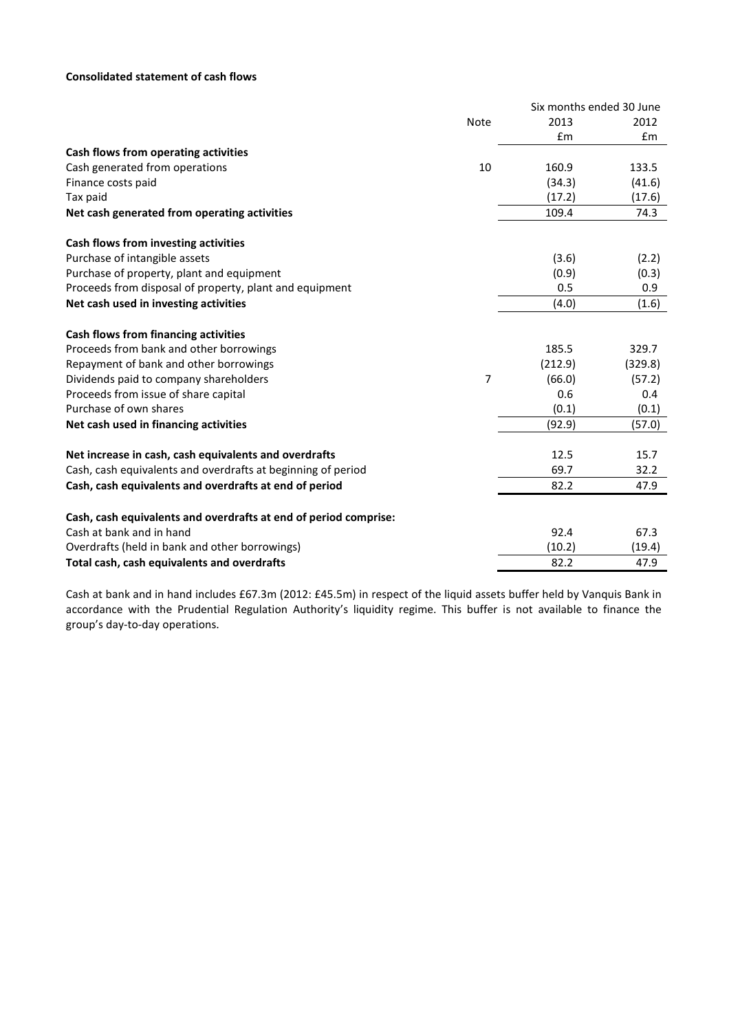# **Consolidated statement of cash flows**

|                                                                  |      | Six months ended 30 June |         |
|------------------------------------------------------------------|------|--------------------------|---------|
|                                                                  | Note | 2013                     | 2012    |
|                                                                  |      | £m                       | Em      |
| Cash flows from operating activities                             |      |                          |         |
| Cash generated from operations                                   | 10   | 160.9                    | 133.5   |
| Finance costs paid                                               |      | (34.3)                   | (41.6)  |
| Tax paid                                                         |      | (17.2)                   | (17.6)  |
| Net cash generated from operating activities                     |      | 109.4                    | 74.3    |
| Cash flows from investing activities                             |      |                          |         |
| Purchase of intangible assets                                    |      | (3.6)                    | (2.2)   |
| Purchase of property, plant and equipment                        |      | (0.9)                    | (0.3)   |
| Proceeds from disposal of property, plant and equipment          |      | 0.5                      | 0.9     |
| Net cash used in investing activities                            |      | (4.0)                    | (1.6)   |
| <b>Cash flows from financing activities</b>                      |      |                          |         |
| Proceeds from bank and other borrowings                          |      | 185.5                    | 329.7   |
| Repayment of bank and other borrowings                           |      | (212.9)                  | (329.8) |
| Dividends paid to company shareholders                           | 7    | (66.0)                   | (57.2)  |
| Proceeds from issue of share capital                             |      | 0.6                      | 0.4     |
| Purchase of own shares                                           |      | (0.1)                    | (0.1)   |
| Net cash used in financing activities                            |      | (92.9)                   | (57.0)  |
| Net increase in cash, cash equivalents and overdrafts            |      | 12.5                     | 15.7    |
| Cash, cash equivalents and overdrafts at beginning of period     |      | 69.7                     | 32.2    |
| Cash, cash equivalents and overdrafts at end of period           |      | 82.2                     | 47.9    |
| Cash, cash equivalents and overdrafts at end of period comprise: |      |                          |         |
| Cash at bank and in hand                                         |      | 92.4                     | 67.3    |
| Overdrafts (held in bank and other borrowings)                   |      | (10.2)                   | (19.4)  |
| Total cash, cash equivalents and overdrafts                      |      | 82.2                     | 47.9    |

Cash at bank and in hand includes £67.3m (2012: £45.5m) in respect of the liquid assets buffer held by Vanquis Bank in accordance with the Prudential Regulation Authority's liquidity regime. This buffer is not available to finance the group's day-to-day operations.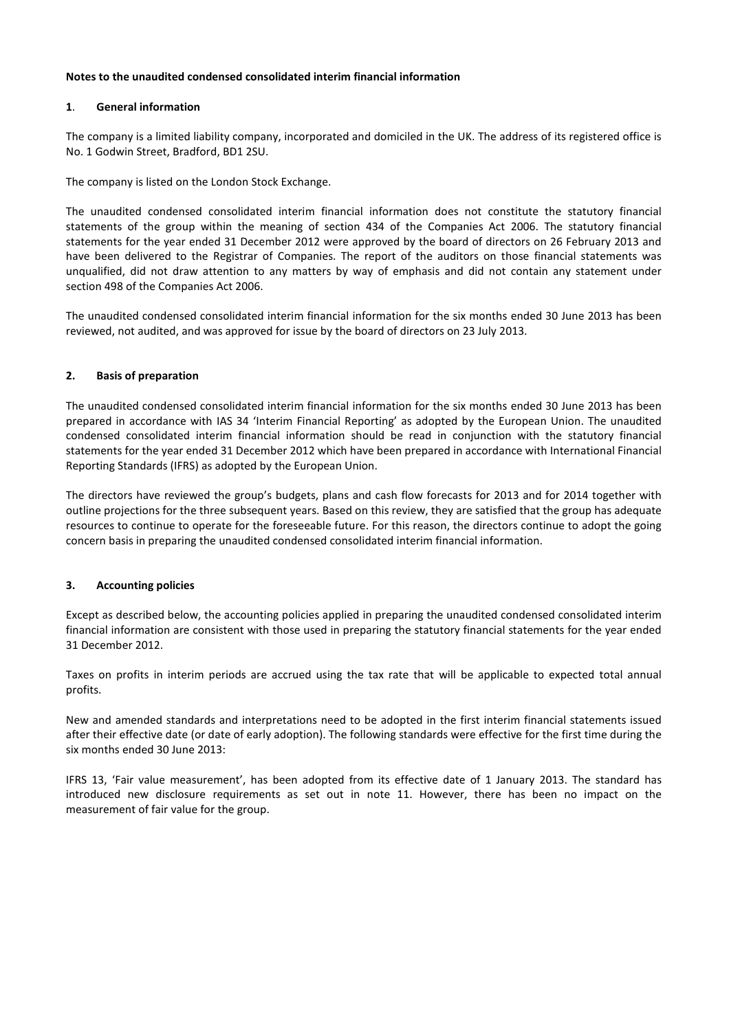#### **Notes to the unaudited condensed consolidated interim financial information**

### **1**. **General information**

The company is a limited liability company, incorporated and domiciled in the UK. The address of its registered office is No. 1 Godwin Street, Bradford, BD1 2SU.

The company is listed on the London Stock Exchange.

The unaudited condensed consolidated interim financial information does not constitute the statutory financial statements of the group within the meaning of section 434 of the Companies Act 2006. The statutory financial statements for the year ended 31 December 2012 were approved by the board of directors on 26 February 2013 and have been delivered to the Registrar of Companies. The report of the auditors on those financial statements was unqualified, did not draw attention to any matters by way of emphasis and did not contain any statement under section 498 of the Companies Act 2006.

The unaudited condensed consolidated interim financial information for the six months ended 30 June 2013 has been reviewed, not audited, and was approved for issue by the board of directors on 23 July 2013.

#### **2. Basis of preparation**

The unaudited condensed consolidated interim financial information for the six months ended 30 June 2013 has been prepared in accordance with IAS 34 'Interim Financial Reporting' as adopted by the European Union. The unaudited condensed consolidated interim financial information should be read in conjunction with the statutory financial statements for the year ended 31 December 2012 which have been prepared in accordance with International Financial Reporting Standards (IFRS) as adopted by the European Union.

The directors have reviewed the group's budgets, plans and cash flow forecasts for 2013 and for 2014 together with outline projections for the three subsequent years. Based on this review, they are satisfied that the group has adequate resources to continue to operate for the foreseeable future. For this reason, the directors continue to adopt the going concern basis in preparing the unaudited condensed consolidated interim financial information.

# **3. Accounting policies**

Except as described below, the accounting policies applied in preparing the unaudited condensed consolidated interim financial information are consistent with those used in preparing the statutory financial statements for the year ended 31 December 2012.

Taxes on profits in interim periods are accrued using the tax rate that will be applicable to expected total annual profits.

New and amended standards and interpretations need to be adopted in the first interim financial statements issued after their effective date (or date of early adoption). The following standards were effective for the first time during the six months ended 30 June 2013:

IFRS 13, 'Fair value measurement', has been adopted from its effective date of 1 January 2013. The standard has introduced new disclosure requirements as set out in note 11. However, there has been no impact on the measurement of fair value for the group.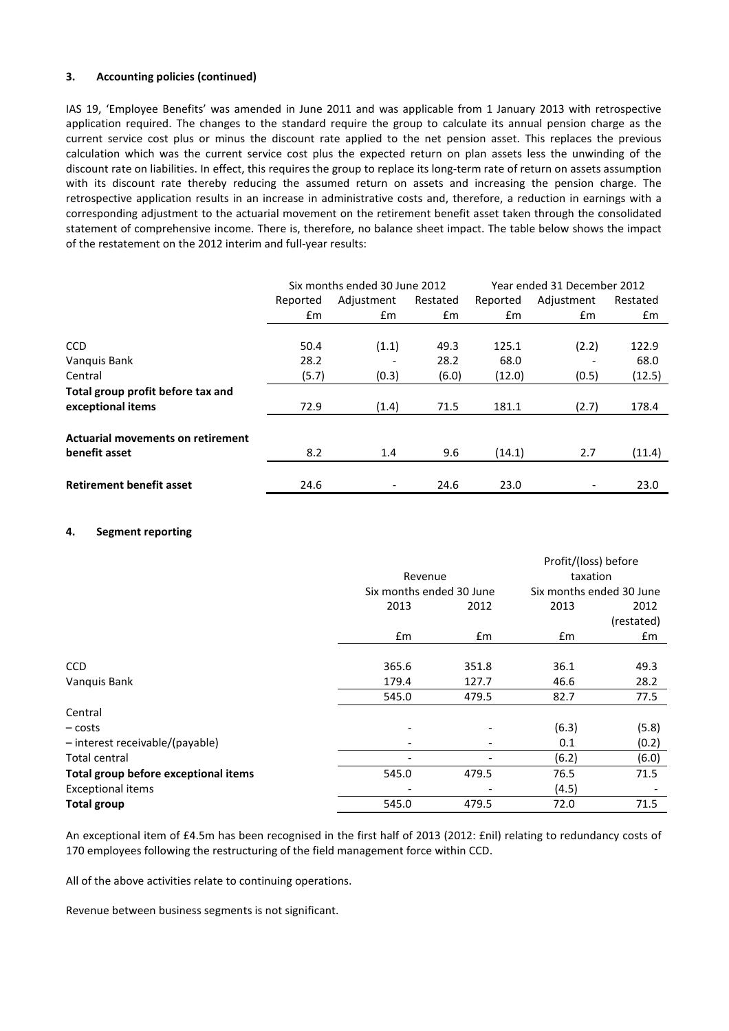#### **3. Accounting policies (continued)**

IAS 19, 'Employee Benefits' was amended in June 2011 and was applicable from 1 January 2013 with retrospective application required. The changes to the standard require the group to calculate its annual pension charge as the current service cost plus or minus the discount rate applied to the net pension asset. This replaces the previous calculation which was the current service cost plus the expected return on plan assets less the unwinding of the discount rate on liabilities. In effect, this requires the group to replace its long-term rate of return on assets assumption with its discount rate thereby reducing the assumed return on assets and increasing the pension charge. The retrospective application results in an increase in administrative costs and, therefore, a reduction in earnings with a corresponding adjustment to the actuarial movement on the retirement benefit asset taken through the consolidated statement of comprehensive income. There is, therefore, no balance sheet impact. The table below shows the impact of the restatement on the 2012 interim and full-year results:

|                                          | Six months ended 30 June 2012 |            |               | Year ended 31 December 2012 |            |               |
|------------------------------------------|-------------------------------|------------|---------------|-----------------------------|------------|---------------|
|                                          | Reported                      | Adjustment | Restated      | Reported                    | Adjustment | Restated      |
|                                          | $\mathsf{fm}$                 | £m         | $\mathsf{fm}$ | $\mathsf{fm}$               | £m         | $\mathsf{fm}$ |
|                                          |                               |            |               |                             |            |               |
| <b>CCD</b>                               | 50.4                          | (1.1)      | 49.3          | 125.1                       | (2.2)      | 122.9         |
| Vanquis Bank                             | 28.2                          |            | 28.2          | 68.0                        |            | 68.0          |
| Central                                  | (5.7)                         | (0.3)      | (6.0)         | (12.0)                      | (0.5)      | (12.5)        |
| Total group profit before tax and        |                               |            |               |                             |            |               |
| exceptional items                        | 72.9                          | (1.4)      | 71.5          | 181.1                       | (2.7)      | 178.4         |
|                                          |                               |            |               |                             |            |               |
| <b>Actuarial movements on retirement</b> |                               |            |               |                             |            |               |
| benefit asset                            | 8.2                           | 1.4        | 9.6           | (14.1)                      | 2.7        | (11.4)        |
|                                          |                               |            |               |                             |            |               |
| <b>Retirement benefit asset</b>          | 24.6                          |            | 24.6          | 23.0                        |            | 23.0          |

#### **4. Segment reporting**

|                                      |                          |         | Profit/(loss) before     |            |
|--------------------------------------|--------------------------|---------|--------------------------|------------|
|                                      |                          | Revenue |                          | taxation   |
|                                      | Six months ended 30 June |         | Six months ended 30 June |            |
|                                      | 2013                     | 2012    | 2013                     | 2012       |
|                                      |                          |         |                          | (restated) |
|                                      | £m                       | £m      | £m                       | £m         |
| <b>CCD</b>                           | 365.6                    | 351.8   | 36.1                     | 49.3       |
| Vanquis Bank                         | 179.4                    | 127.7   | 46.6                     | 28.2       |
|                                      | 545.0                    | 479.5   | 82.7                     | 77.5       |
| Central                              |                          |         |                          |            |
| – costs                              |                          |         | (6.3)                    | (5.8)      |
| - interest receivable/(payable)      | $\overline{\phantom{0}}$ | ٠       | 0.1                      | (0.2)      |
| Total central                        | $\overline{\phantom{a}}$ |         | (6.2)                    | (6.0)      |
| Total group before exceptional items | 545.0                    | 479.5   | 76.5                     | 71.5       |
| <b>Exceptional items</b>             |                          |         | (4.5)                    |            |
| <b>Total group</b>                   | 545.0                    | 479.5   | 72.0                     | 71.5       |

An exceptional item of £4.5m has been recognised in the first half of 2013 (2012: £nil) relating to redundancy costs of 170 employees following the restructuring of the field management force within CCD.

All of the above activities relate to continuing operations.

Revenue between business segments is not significant.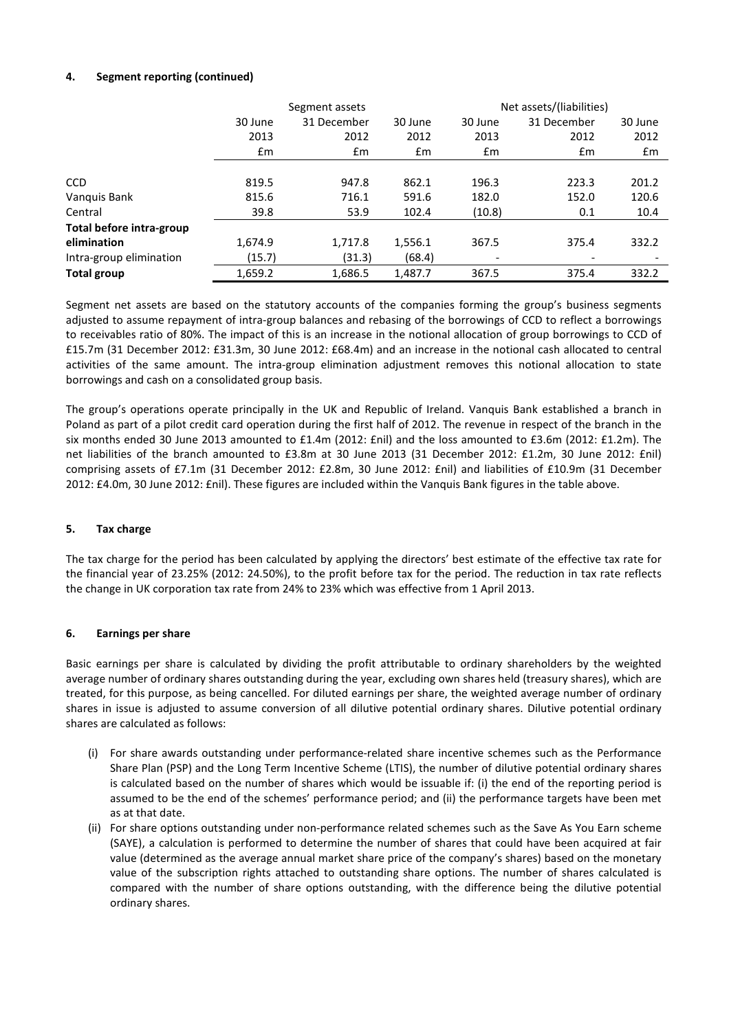# **4. Segment reporting (continued)**

|                          | Segment assets |               |               | Net assets/(liabilities) |             |         |
|--------------------------|----------------|---------------|---------------|--------------------------|-------------|---------|
|                          | 30 June        | 31 December   | 30 June       | 30 June                  | 31 December | 30 June |
|                          | 2013           | 2012          | 2012          | 2013                     | 2012        | 2012    |
|                          | £m             | $\mathsf{fm}$ | $\mathsf{fm}$ | $\mathsf{fm}$            | £m          | £m      |
|                          |                |               |               |                          |             |         |
| <b>CCD</b>               | 819.5          | 947.8         | 862.1         | 196.3                    | 223.3       | 201.2   |
| Vanquis Bank             | 815.6          | 716.1         | 591.6         | 182.0                    | 152.0       | 120.6   |
| Central                  | 39.8           | 53.9          | 102.4         | (10.8)                   | 0.1         | 10.4    |
| Total before intra-group |                |               |               |                          |             |         |
| elimination              | 1,674.9        | 1,717.8       | 1,556.1       | 367.5                    | 375.4       | 332.2   |
| Intra-group elimination  | (15.7)         | (31.3)        | (68.4)        |                          |             |         |
| <b>Total group</b>       | 1,659.2        | 1,686.5       | 1,487.7       | 367.5                    | 375.4       | 332.2   |

Segment net assets are based on the statutory accounts of the companies forming the group's business segments adjusted to assume repayment of intra-group balances and rebasing of the borrowings of CCD to reflect a borrowings to receivables ratio of 80%. The impact of this is an increase in the notional allocation of group borrowings to CCD of £15.7m (31 December 2012: £31.3m, 30 June 2012: £68.4m) and an increase in the notional cash allocated to central activities of the same amount. The intra-group elimination adjustment removes this notional allocation to state borrowings and cash on a consolidated group basis.

The group's operations operate principally in the UK and Republic of Ireland. Vanquis Bank established a branch in Poland as part of a pilot credit card operation during the first half of 2012. The revenue in respect of the branch in the six months ended 30 June 2013 amounted to £1.4m (2012: £nil) and the loss amounted to £3.6m (2012: £1.2m). The net liabilities of the branch amounted to £3.8m at 30 June 2013 (31 December 2012: £1.2m, 30 June 2012: £nil) comprising assets of £7.1m (31 December 2012: £2.8m, 30 June 2012: £nil) and liabilities of £10.9m (31 December 2012: £4.0m, 30 June 2012: £nil). These figures are included within the Vanquis Bank figures in the table above.

# **5. Tax charge**

The tax charge for the period has been calculated by applying the directors' best estimate of the effective tax rate for the financial year of 23.25% (2012: 24.50%), to the profit before tax for the period. The reduction in tax rate reflects the change in UK corporation tax rate from 24% to 23% which was effective from 1 April 2013.

# **6. Earnings per share**

Basic earnings per share is calculated by dividing the profit attributable to ordinary shareholders by the weighted average number of ordinary shares outstanding during the year, excluding own shares held (treasury shares), which are treated, for this purpose, as being cancelled. For diluted earnings per share, the weighted average number of ordinary shares in issue is adjusted to assume conversion of all dilutive potential ordinary shares. Dilutive potential ordinary shares are calculated as follows:

- (i) For share awards outstanding under performance-related share incentive schemes such as the Performance Share Plan (PSP) and the Long Term Incentive Scheme (LTIS), the number of dilutive potential ordinary shares is calculated based on the number of shares which would be issuable if: (i) the end of the reporting period is assumed to be the end of the schemes' performance period; and (ii) the performance targets have been met as at that date.
- (ii) For share options outstanding under non-performance related schemes such as the Save As You Earn scheme (SAYE), a calculation is performed to determine the number of shares that could have been acquired at fair value (determined as the average annual market share price of the company's shares) based on the monetary value of the subscription rights attached to outstanding share options. The number of shares calculated is compared with the number of share options outstanding, with the difference being the dilutive potential ordinary shares.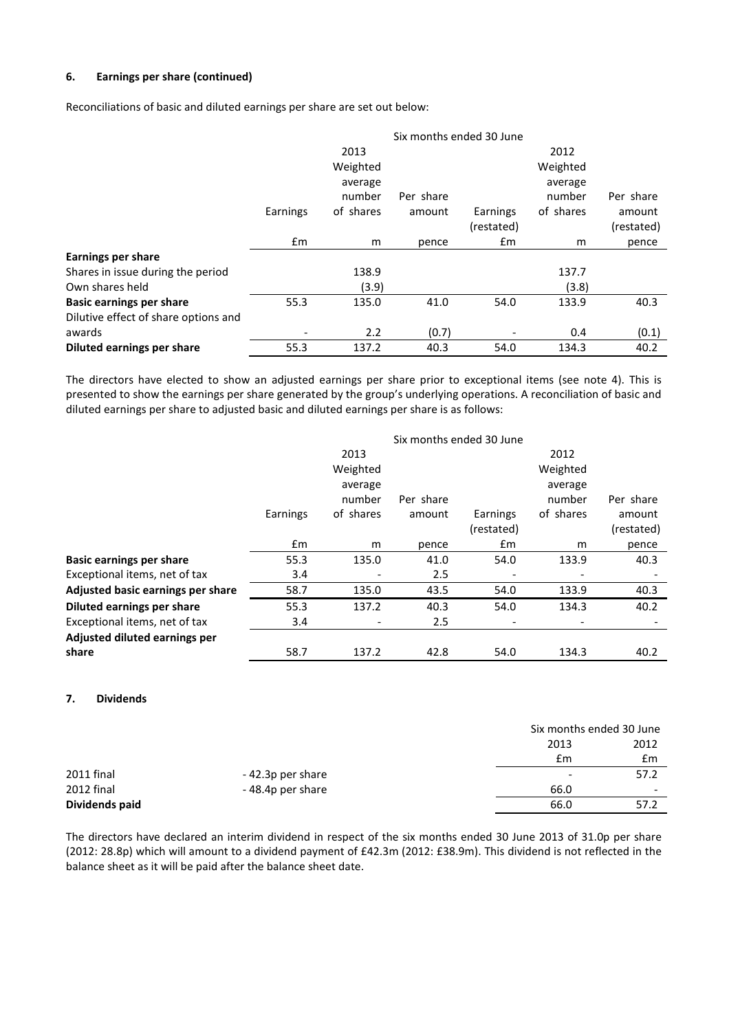# **6. Earnings per share (continued)**

Reconciliations of basic and diluted earnings per share are set out below:

|                                      | Six months ended 30 June |           |           |            |           |            |
|--------------------------------------|--------------------------|-----------|-----------|------------|-----------|------------|
|                                      |                          | 2013      |           |            | 2012      |            |
|                                      |                          | Weighted  |           |            | Weighted  |            |
|                                      |                          | average   |           |            | average   |            |
|                                      |                          | number    | Per share |            | number    | Per share  |
|                                      | Earnings                 | of shares | amount    | Earnings   | of shares | amount     |
|                                      |                          |           |           | (restated) |           | (restated) |
|                                      | £m                       | m         | pence     | £m         | m         | pence      |
| <b>Earnings per share</b>            |                          |           |           |            |           |            |
| Shares in issue during the period    |                          | 138.9     |           |            | 137.7     |            |
| Own shares held                      |                          | (3.9)     |           |            | (3.8)     |            |
| <b>Basic earnings per share</b>      | 55.3                     | 135.0     | 41.0      | 54.0       | 133.9     | 40.3       |
| Dilutive effect of share options and |                          |           |           |            |           |            |
| awards                               |                          | 2.2       | (0.7)     |            | 0.4       | (0.1)      |
| Diluted earnings per share           | 55.3                     | 137.2     | 40.3      | 54.0       | 134.3     | 40.2       |

The directors have elected to show an adjusted earnings per share prior to exceptional items (see note 4). This is presented to show the earnings per share generated by the group's underlying operations. A reconciliation of basic and diluted earnings per share to adjusted basic and diluted earnings per share is as follows:

|                                   | Six months ended 30 June |                          |           |            |                          |            |
|-----------------------------------|--------------------------|--------------------------|-----------|------------|--------------------------|------------|
|                                   |                          | 2013                     |           |            | 2012                     |            |
|                                   |                          | Weighted                 |           |            | Weighted                 |            |
|                                   |                          | average                  |           |            | average                  |            |
|                                   |                          | number                   | Per share |            | number                   | Per share  |
|                                   | Earnings                 | of shares                | amount    | Earnings   | of shares                | amount     |
|                                   |                          |                          |           | (restated) |                          | (restated) |
|                                   | $\mathsf{fm}$            | m                        | pence     | £m         | m                        | pence      |
| <b>Basic earnings per share</b>   | 55.3                     | 135.0                    | 41.0      | 54.0       | 133.9                    | 40.3       |
| Exceptional items, net of tax     | 3.4                      | ٠                        | 2.5       |            |                          |            |
| Adjusted basic earnings per share | 58.7                     | 135.0                    | 43.5      | 54.0       | 133.9                    | 40.3       |
| Diluted earnings per share        | 55.3                     | 137.2                    | 40.3      | 54.0       | 134.3                    | 40.2       |
| Exceptional items, net of tax     | 3.4                      | $\overline{\phantom{a}}$ | 2.5       |            | $\overline{\phantom{a}}$ |            |
| Adjusted diluted earnings per     |                          |                          |           |            |                          |            |
| share                             | 58.7                     | 137.2                    | 42.8      | 54.0       | 134.3                    | 40.2       |

#### **7. Dividends**

|                |                  | Six months ended 30 June |                          |
|----------------|------------------|--------------------------|--------------------------|
|                |                  | 2013                     | 2012                     |
|                |                  | £m                       | £m                       |
| 2011 final     | -42.3p per share | $\overline{\phantom{a}}$ | 57.2                     |
| 2012 final     | -48.4p per share | 66.0                     | $\overline{\phantom{a}}$ |
| Dividends paid |                  | 66.0                     | 57.2                     |

The directors have declared an interim dividend in respect of the six months ended 30 June 2013 of 31.0p per share (2012: 28.8p) which will amount to a dividend payment of £42.3m (2012: £38.9m). This dividend is not reflected in the balance sheet as it will be paid after the balance sheet date.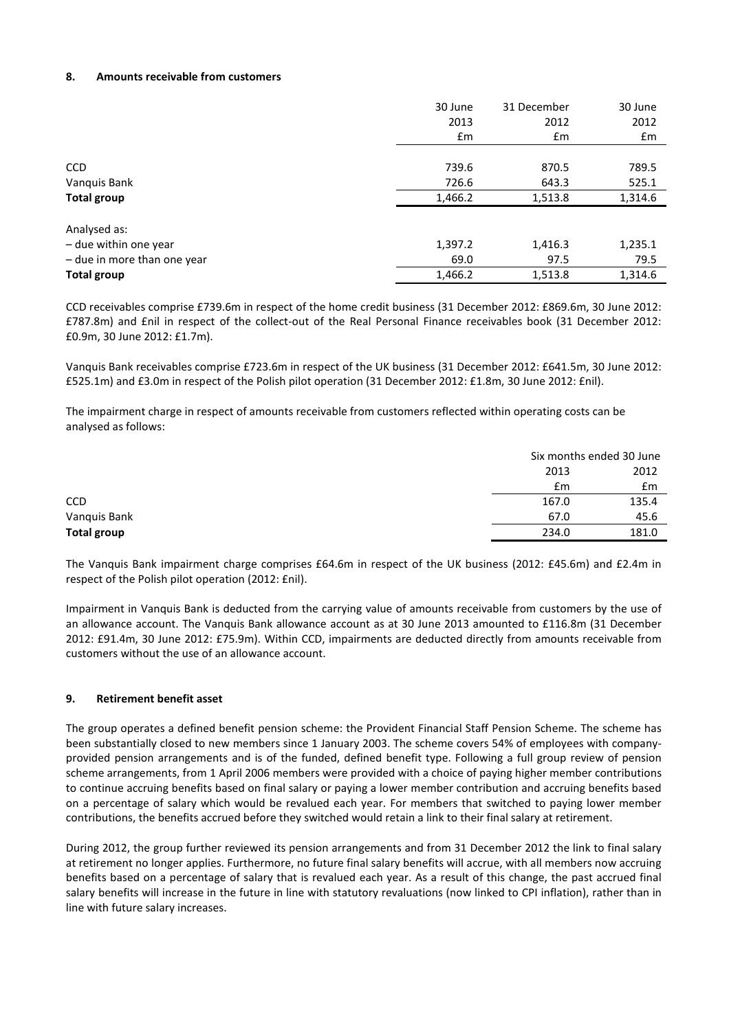# **8. Amounts receivable from customers**

|                             | 30 June | 31 December | 30 June |
|-----------------------------|---------|-------------|---------|
|                             | 2013    | 2012        | 2012    |
|                             | £m      | £m          | £m      |
|                             |         |             |         |
| <b>CCD</b>                  | 739.6   | 870.5       | 789.5   |
| Vanquis Bank                | 726.6   | 643.3       | 525.1   |
| Total group                 | 1,466.2 | 1,513.8     | 1,314.6 |
| Analysed as:                |         |             |         |
| - due within one year       | 1,397.2 | 1,416.3     | 1,235.1 |
| - due in more than one year | 69.0    | 97.5        | 79.5    |
| <b>Total group</b>          | 1,466.2 | 1,513.8     | 1,314.6 |

CCD receivables comprise £739.6m in respect of the home credit business (31 December 2012: £869.6m, 30 June 2012: £787.8m) and £nil in respect of the collect-out of the Real Personal Finance receivables book (31 December 2012: £0.9m, 30 June 2012: £1.7m).

Vanquis Bank receivables comprise £723.6m in respect of the UK business (31 December 2012: £641.5m, 30 June 2012: £525.1m) and £3.0m in respect of the Polish pilot operation (31 December 2012: £1.8m, 30 June 2012: £nil).

The impairment charge in respect of amounts receivable from customers reflected within operating costs can be analysed as follows:

|                    |       | Six months ended 30 June |
|--------------------|-------|--------------------------|
|                    | 2013  | 2012                     |
|                    | £m    | £m                       |
| <b>CCD</b>         | 167.0 | 135.4                    |
| Vanquis Bank       | 67.0  | 45.6                     |
| <b>Total group</b> | 234.0 | 181.0                    |

The Vanquis Bank impairment charge comprises £64.6m in respect of the UK business (2012: £45.6m) and £2.4m in respect of the Polish pilot operation (2012: £nil).

Impairment in Vanquis Bank is deducted from the carrying value of amounts receivable from customers by the use of an allowance account. The Vanquis Bank allowance account as at 30 June 2013 amounted to £116.8m (31 December 2012: £91.4m, 30 June 2012: £75.9m). Within CCD, impairments are deducted directly from amounts receivable from customers without the use of an allowance account.

# **9. Retirement benefit asset**

The group operates a defined benefit pension scheme: the Provident Financial Staff Pension Scheme. The scheme has been substantially closed to new members since 1 January 2003. The scheme covers 54% of employees with companyprovided pension arrangements and is of the funded, defined benefit type. Following a full group review of pension scheme arrangements, from 1 April 2006 members were provided with a choice of paying higher member contributions to continue accruing benefits based on final salary or paying a lower member contribution and accruing benefits based on a percentage of salary which would be revalued each year. For members that switched to paying lower member contributions, the benefits accrued before they switched would retain a link to their final salary at retirement.

During 2012, the group further reviewed its pension arrangements and from 31 December 2012 the link to final salary at retirement no longer applies. Furthermore, no future final salary benefits will accrue, with all members now accruing benefits based on a percentage of salary that is revalued each year. As a result of this change, the past accrued final salary benefits will increase in the future in line with statutory revaluations (now linked to CPI inflation), rather than in line with future salary increases.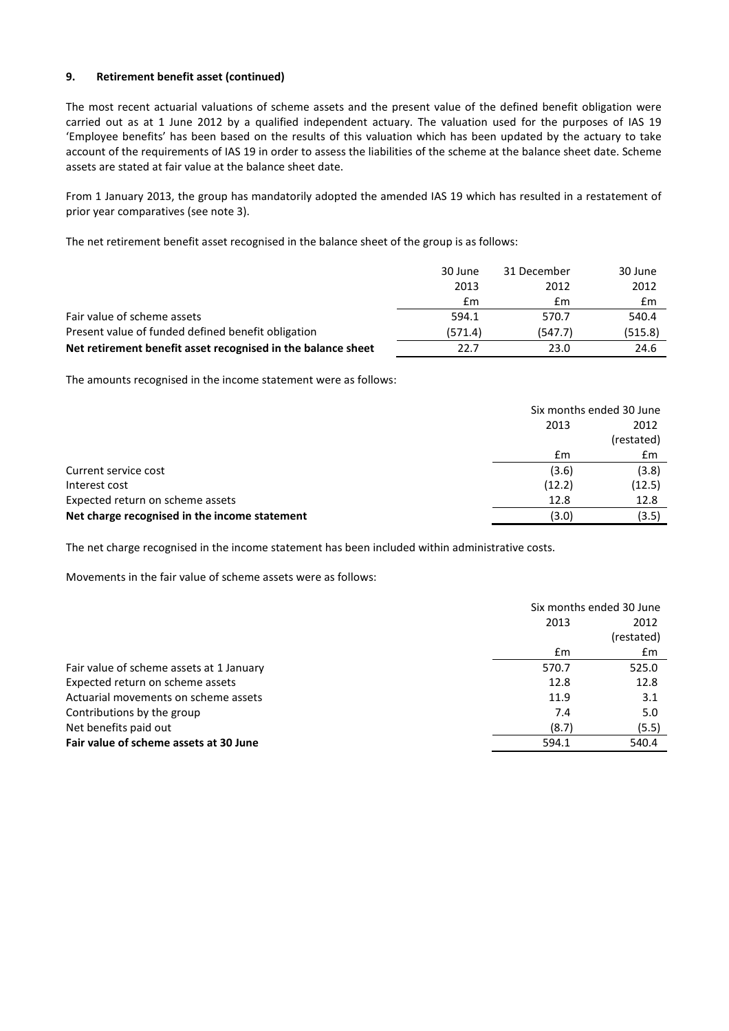# **9. Retirement benefit asset (continued)**

The most recent actuarial valuations of scheme assets and the present value of the defined benefit obligation were carried out as at 1 June 2012 by a qualified independent actuary. The valuation used for the purposes of IAS 19 'Employee benefits' has been based on the results of this valuation which has been updated by the actuary to take account of the requirements of IAS 19 in order to assess the liabilities of the scheme at the balance sheet date. Scheme assets are stated at fair value at the balance sheet date.

From 1 January 2013, the group has mandatorily adopted the amended IAS 19 which has resulted in a restatement of prior year comparatives (see note 3).

The net retirement benefit asset recognised in the balance sheet of the group is as follows:

|                                                              | 30 June | 31 December | 30 June |
|--------------------------------------------------------------|---------|-------------|---------|
|                                                              | 2013    | 2012        | 2012    |
|                                                              | £m      | Em          | £m      |
| Fair value of scheme assets                                  | 594.1   | 570.7       | 540.4   |
| Present value of funded defined benefit obligation           | (571.4) | (547.7)     | (515.8) |
| Net retirement benefit asset recognised in the balance sheet | 22.7    | 23.0        | 24.6    |

The amounts recognised in the income statement were as follows:

|                                               |        | Six months ended 30 June |
|-----------------------------------------------|--------|--------------------------|
|                                               | 2013   | 2012                     |
|                                               |        | (restated)               |
|                                               | £m     | £m                       |
| Current service cost                          | (3.6)  | (3.8)                    |
| Interest cost                                 | (12.2) | (12.5)                   |
| Expected return on scheme assets              | 12.8   | 12.8                     |
| Net charge recognised in the income statement | (3.0)  | (3.5)                    |

The net charge recognised in the income statement has been included within administrative costs.

Movements in the fair value of scheme assets were as follows:

|                                          | Six months ended 30 June |            |  |
|------------------------------------------|--------------------------|------------|--|
|                                          | 2013                     | 2012       |  |
|                                          |                          | (restated) |  |
|                                          | Em                       | £m         |  |
| Fair value of scheme assets at 1 January | 570.7                    | 525.0      |  |
| Expected return on scheme assets         | 12.8                     | 12.8       |  |
| Actuarial movements on scheme assets     | 11.9                     | 3.1        |  |
| Contributions by the group               | 7.4                      | 5.0        |  |
| Net benefits paid out                    | (8.7)                    | (5.5)      |  |
| Fair value of scheme assets at 30 June   | 594.1                    | 540.4      |  |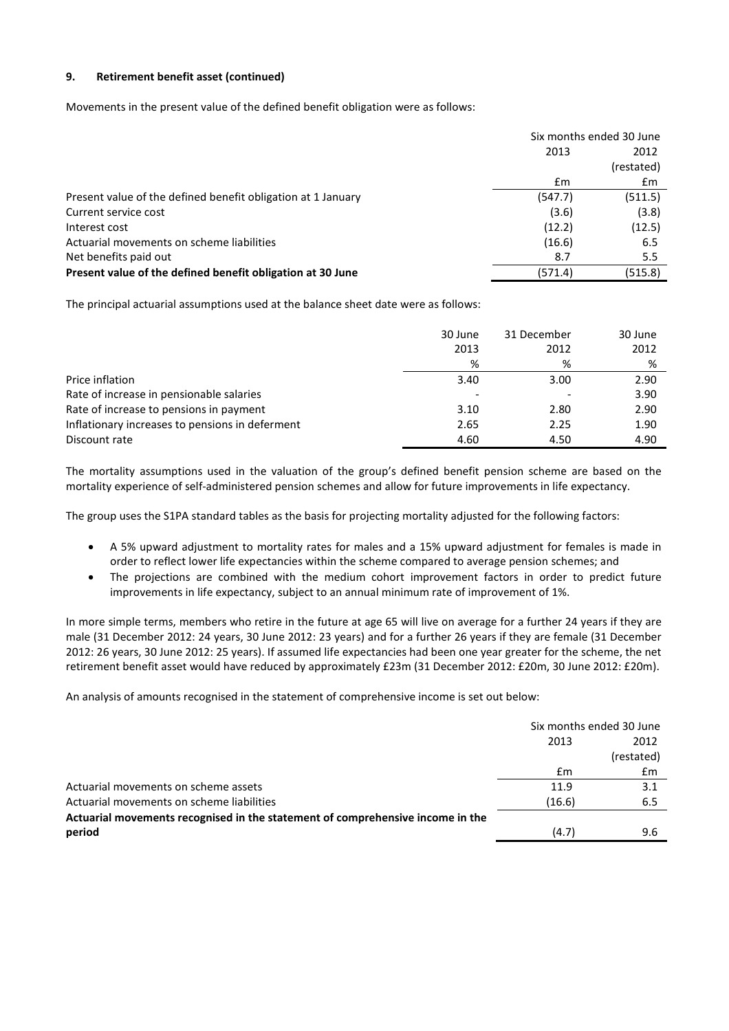# **9. Retirement benefit asset (continued)**

Movements in the present value of the defined benefit obligation were as follows:

|                                                              | Six months ended 30 June |            |  |
|--------------------------------------------------------------|--------------------------|------------|--|
|                                                              | 2013                     | 2012       |  |
|                                                              |                          | (restated) |  |
|                                                              | £m                       | £m         |  |
| Present value of the defined benefit obligation at 1 January | (547.7)                  | (511.5)    |  |
| Current service cost                                         | (3.6)                    | (3.8)      |  |
| Interest cost                                                | (12.2)                   | (12.5)     |  |
| Actuarial movements on scheme liabilities                    | (16.6)                   | 6.5        |  |
| Net benefits paid out                                        | 8.7                      | 5.5        |  |
| Present value of the defined benefit obligation at 30 June   | (571.4)                  | (515.8)    |  |

The principal actuarial assumptions used at the balance sheet date were as follows:

|                                                 | 30 June | 31 December | 30 June |
|-------------------------------------------------|---------|-------------|---------|
|                                                 | 2013    | 2012        | 2012    |
|                                                 | %       | %           | %       |
| Price inflation                                 | 3.40    | 3.00        | 2.90    |
| Rate of increase in pensionable salaries        |         |             | 3.90    |
| Rate of increase to pensions in payment         | 3.10    | 2.80        | 2.90    |
| Inflationary increases to pensions in deferment | 2.65    | 2.25        | 1.90    |
| Discount rate                                   | 4.60    | 4.50        | 4.90    |

The mortality assumptions used in the valuation of the group's defined benefit pension scheme are based on the mortality experience of self-administered pension schemes and allow for future improvements in life expectancy.

The group uses the S1PA standard tables as the basis for projecting mortality adjusted for the following factors:

- A 5% upward adjustment to mortality rates for males and a 15% upward adjustment for females is made in order to reflect lower life expectancies within the scheme compared to average pension schemes; and
- The projections are combined with the medium cohort improvement factors in order to predict future improvements in life expectancy, subject to an annual minimum rate of improvement of 1%.

In more simple terms, members who retire in the future at age 65 will live on average for a further 24 years if they are male (31 December 2012: 24 years, 30 June 2012: 23 years) and for a further 26 years if they are female (31 December 2012: 26 years, 30 June 2012: 25 years). If assumed life expectancies had been one year greater for the scheme, the net retirement benefit asset would have reduced by approximately £23m (31 December 2012: £20m, 30 June 2012: £20m).

An analysis of amounts recognised in the statement of comprehensive income is set out below:

|                                                                                | Six months ended 30 June |            |
|--------------------------------------------------------------------------------|--------------------------|------------|
|                                                                                | 2013                     | 2012       |
|                                                                                |                          | (restated) |
|                                                                                | £m                       | £m         |
| Actuarial movements on scheme assets                                           | 11.9                     | 3.1        |
| Actuarial movements on scheme liabilities                                      | (16.6)                   | 6.5        |
| Actuarial movements recognised in the statement of comprehensive income in the |                          |            |
| period                                                                         | (4.7)                    | 9.6        |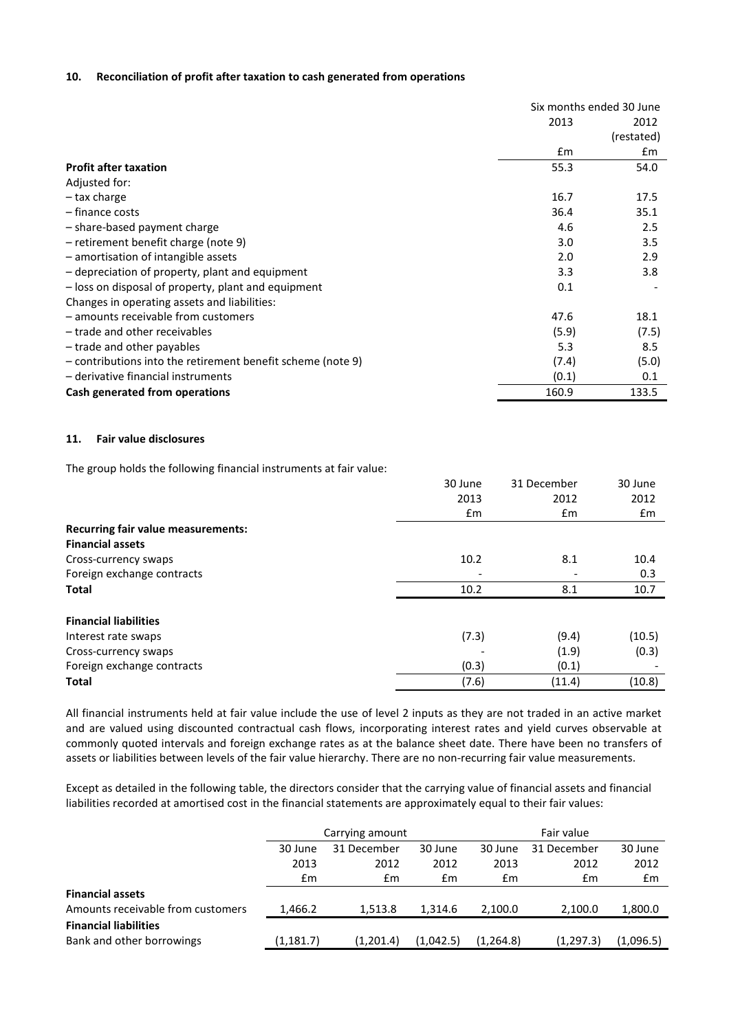#### **10. Reconciliation of profit after taxation to cash generated from operations**

|                                                             | Six months ended 30 June |            |  |
|-------------------------------------------------------------|--------------------------|------------|--|
|                                                             | 2013                     | 2012       |  |
|                                                             |                          | (restated) |  |
|                                                             | $\mathbf{f}$ m           | £m         |  |
| <b>Profit after taxation</b>                                | 55.3                     | 54.0       |  |
| Adjusted for:                                               |                          |            |  |
| – tax charge                                                | 16.7                     | 17.5       |  |
| - finance costs                                             | 36.4                     | 35.1       |  |
| - share-based payment charge                                | 4.6                      | 2.5        |  |
| - retirement benefit charge (note 9)                        | 3.0                      | 3.5        |  |
| - amortisation of intangible assets                         | 2.0                      | 2.9        |  |
| - depreciation of property, plant and equipment             | 3.3                      | 3.8        |  |
| - loss on disposal of property, plant and equipment         | 0.1                      |            |  |
| Changes in operating assets and liabilities:                |                          |            |  |
| - amounts receivable from customers                         | 47.6                     | 18.1       |  |
| - trade and other receivables                               | (5.9)                    | (7.5)      |  |
| - trade and other payables                                  | 5.3                      | 8.5        |  |
| - contributions into the retirement benefit scheme (note 9) | (7.4)                    | (5.0)      |  |
| - derivative financial instruments                          | (0.1)                    | 0.1        |  |
| Cash generated from operations                              | 160.9                    | 133.5      |  |

# **11. Fair value disclosures**

The group holds the following financial instruments at fair value:

|                                           | 30 June       | 31 December   | 30 June |
|-------------------------------------------|---------------|---------------|---------|
|                                           | 2013          | 2012          | 2012    |
|                                           | $\mathsf{fm}$ | $\mathsf{fm}$ | £m      |
| <b>Recurring fair value measurements:</b> |               |               |         |
| <b>Financial assets</b>                   |               |               |         |
| Cross-currency swaps                      | 10.2          | 8.1           | 10.4    |
| Foreign exchange contracts                |               |               | 0.3     |
| <b>Total</b>                              | 10.2          | 8.1           | 10.7    |
| <b>Financial liabilities</b>              |               |               |         |
| Interest rate swaps                       | (7.3)         | (9.4)         | (10.5)  |
| Cross-currency swaps                      |               | (1.9)         | (0.3)   |
| Foreign exchange contracts                | (0.3)         | (0.1)         |         |
| <b>Total</b>                              | (7.6)         | (11.4)        | (10.8)  |

All financial instruments held at fair value include the use of level 2 inputs as they are not traded in an active market and are valued using discounted contractual cash flows, incorporating interest rates and yield curves observable at commonly quoted intervals and foreign exchange rates as at the balance sheet date. There have been no transfers of assets or liabilities between levels of the fair value hierarchy. There are no non-recurring fair value measurements.

Except as detailed in the following table, the directors consider that the carrying value of financial assets and financial liabilities recorded at amortised cost in the financial statements are approximately equal to their fair values:

|                                   | Carrying amount |             |           | Fair value |             |           |
|-----------------------------------|-----------------|-------------|-----------|------------|-------------|-----------|
|                                   | 30 June         | 31 December | 30 June   | 30 June    | 31 December | 30 June   |
|                                   | 2013            | 2012        | 2012      | 2013       | 2012        | 2012      |
|                                   | £m              | £m          | £m        | £m         | £m          | Em        |
| <b>Financial assets</b>           |                 |             |           |            |             |           |
| Amounts receivable from customers | 1,466.2         | 1.513.8     | 1.314.6   | 2.100.0    | 2.100.0     | 1,800.0   |
| <b>Financial liabilities</b>      |                 |             |           |            |             |           |
| Bank and other borrowings         | (1, 181.7)      | (1,201.4)   | (1,042.5) | (1, 264.8) | (1, 297.3)  | (1,096.5) |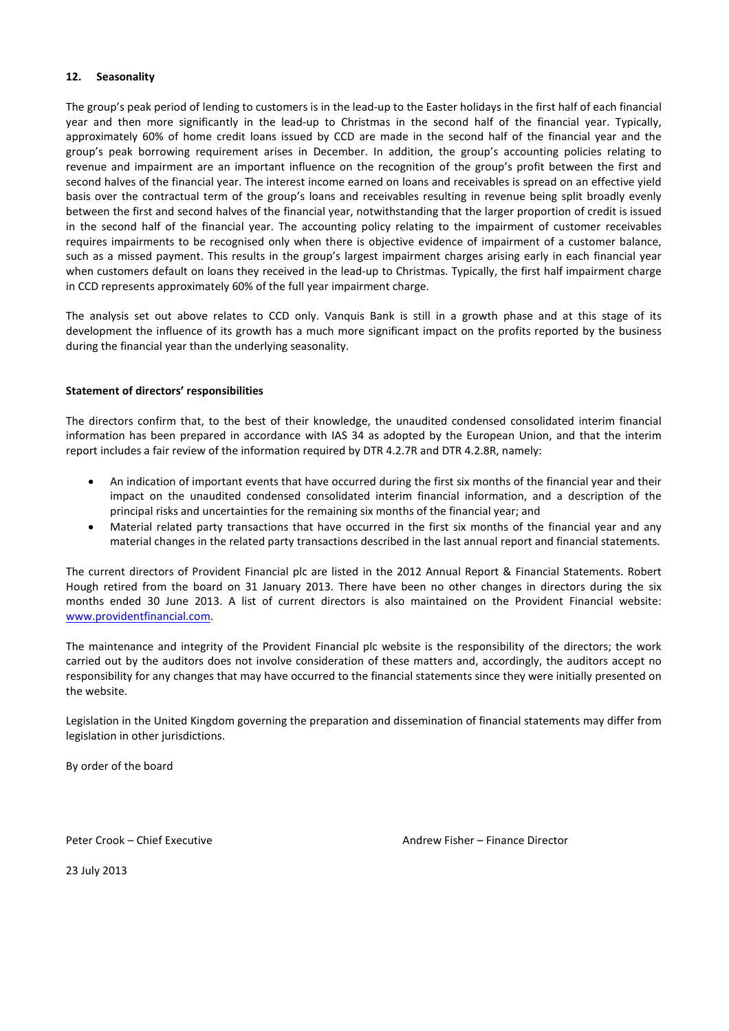# **12. Seasonality**

The group's peak period of lending to customers is in the lead-up to the Easter holidays in the first half of each financial year and then more significantly in the lead-up to Christmas in the second half of the financial year. Typically, approximately 60% of home credit loans issued by CCD are made in the second half of the financial year and the group's peak borrowing requirement arises in December. In addition, the group's accounting policies relating to revenue and impairment are an important influence on the recognition of the group's profit between the first and second halves of the financial year. The interest income earned on loans and receivables is spread on an effective yield basis over the contractual term of the group's loans and receivables resulting in revenue being split broadly evenly between the first and second halves of the financial year, notwithstanding that the larger proportion of credit is issued in the second half of the financial year. The accounting policy relating to the impairment of customer receivables requires impairments to be recognised only when there is objective evidence of impairment of a customer balance, such as a missed payment. This results in the group's largest impairment charges arising early in each financial year when customers default on loans they received in the lead-up to Christmas. Typically, the first half impairment charge in CCD represents approximately 60% of the full year impairment charge.

The analysis set out above relates to CCD only. Vanquis Bank is still in a growth phase and at this stage of its development the influence of its growth has a much more significant impact on the profits reported by the business during the financial year than the underlying seasonality.

#### **Statement of directors' responsibilities**

The directors confirm that, to the best of their knowledge, the unaudited condensed consolidated interim financial information has been prepared in accordance with IAS 34 as adopted by the European Union, and that the interim report includes a fair review of the information required by DTR 4.2.7R and DTR 4.2.8R, namely:

- An indication of important events that have occurred during the first six months of the financial year and their impact on the unaudited condensed consolidated interim financial information, and a description of the principal risks and uncertainties for the remaining six months of the financial year; and
- Material related party transactions that have occurred in the first six months of the financial year and any material changes in the related party transactions described in the last annual report and financial statements.

The current directors of Provident Financial plc are listed in the 2012 Annual Report & Financial Statements. Robert Hough retired from the board on 31 January 2013. There have been no other changes in directors during the six months ended 30 June 2013. A list of current directors is also maintained on the Provident Financial website: www.providentfinancial.com.

The maintenance and integrity of the Provident Financial plc website is the responsibility of the directors; the work carried out by the auditors does not involve consideration of these matters and, accordingly, the auditors accept no responsibility for any changes that may have occurred to the financial statements since they were initially presented on the website.

Legislation in the United Kingdom governing the preparation and dissemination of financial statements may differ from legislation in other jurisdictions.

By order of the board

Peter Crook – Chief Executive Andrew Fisher – Finance Director

23 July 2013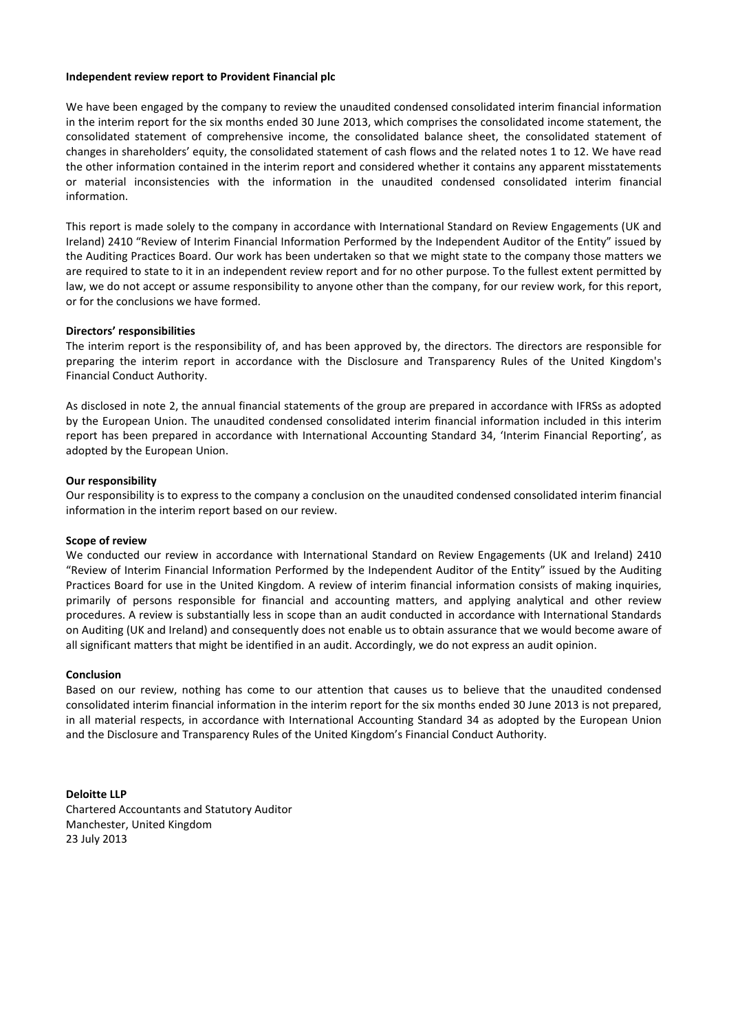#### **Independent review report to Provident Financial plc**

We have been engaged by the company to review the unaudited condensed consolidated interim financial information in the interim report for the six months ended 30 June 2013, which comprises the consolidated income statement, the consolidated statement of comprehensive income, the consolidated balance sheet, the consolidated statement of changes in shareholders' equity, the consolidated statement of cash flows and the related notes 1 to 12. We have read the other information contained in the interim report and considered whether it contains any apparent misstatements or material inconsistencies with the information in the unaudited condensed consolidated interim financial information.

This report is made solely to the company in accordance with International Standard on Review Engagements (UK and Ireland) 2410 "Review of Interim Financial Information Performed by the Independent Auditor of the Entity" issued by the Auditing Practices Board. Our work has been undertaken so that we might state to the company those matters we are required to state to it in an independent review report and for no other purpose. To the fullest extent permitted by law, we do not accept or assume responsibility to anyone other than the company, for our review work, for this report, or for the conclusions we have formed.

#### **Directors' responsibilities**

The interim report is the responsibility of, and has been approved by, the directors. The directors are responsible for preparing the interim report in accordance with the Disclosure and Transparency Rules of the United Kingdom's Financial Conduct Authority.

As disclosed in note 2, the annual financial statements of the group are prepared in accordance with IFRSs as adopted by the European Union. The unaudited condensed consolidated interim financial information included in this interim report has been prepared in accordance with International Accounting Standard 34, 'Interim Financial Reporting', as adopted by the European Union.

#### **Our responsibility**

Our responsibility is to express to the company a conclusion on the unaudited condensed consolidated interim financial information in the interim report based on our review.

#### **Scope of review**

We conducted our review in accordance with International Standard on Review Engagements (UK and Ireland) 2410 "Review of Interim Financial Information Performed by the Independent Auditor of the Entity" issued by the Auditing Practices Board for use in the United Kingdom. A review of interim financial information consists of making inquiries, primarily of persons responsible for financial and accounting matters, and applying analytical and other review procedures. A review is substantially less in scope than an audit conducted in accordance with International Standards on Auditing (UK and Ireland) and consequently does not enable us to obtain assurance that we would become aware of all significant matters that might be identified in an audit. Accordingly, we do not express an audit opinion.

#### **Conclusion**

Based on our review, nothing has come to our attention that causes us to believe that the unaudited condensed consolidated interim financial information in the interim report for the six months ended 30 June 2013 is not prepared, in all material respects, in accordance with International Accounting Standard 34 as adopted by the European Union and the Disclosure and Transparency Rules of the United Kingdom's Financial Conduct Authority.

#### **Deloitte LLP**

Chartered Accountants and Statutory Auditor Manchester, United Kingdom 23 July 2013